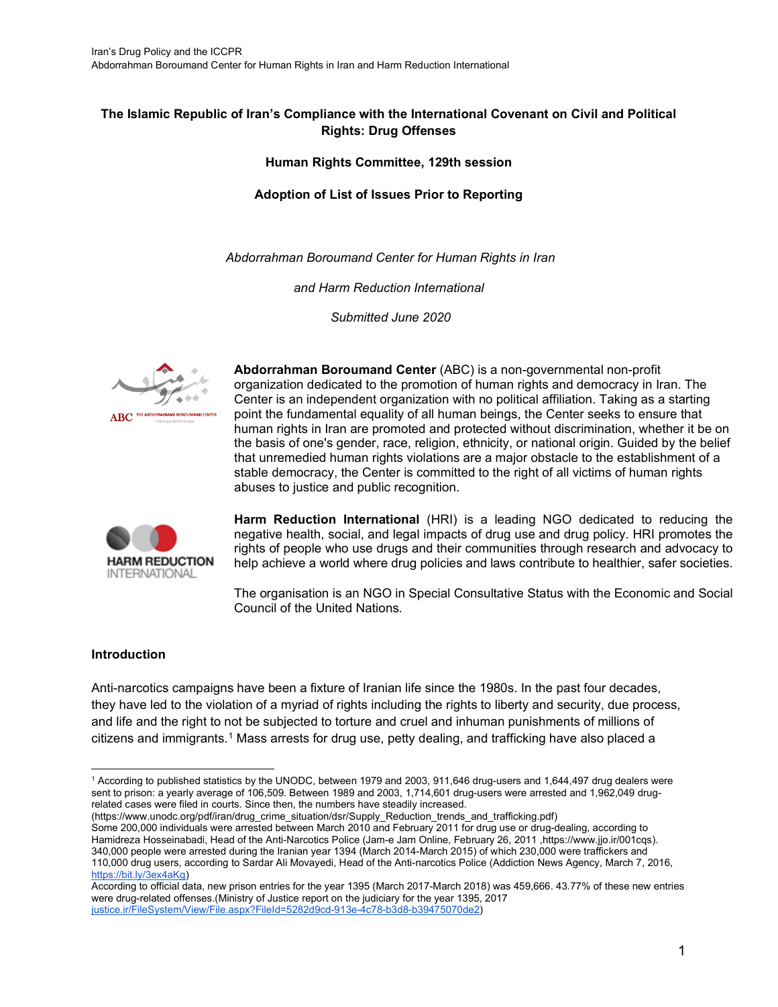#### **The Islamic Republic of Iran's Compliance with the International Covenant on Civil and Political Rights: Drug Offenses**

#### **Human Rights Committee, 129th session**

#### **Adoption of List of Issues Prior to Reporting**

*Abdorrahman Boroumand Center for Human Rights in Iran* 

*and Harm Reduction International*

*Submitted June 2020*



**Abdorrahman Boroumand Center** (ABC) is a non-governmental non-profit organization dedicated to the promotion of human rights and democracy in Iran. The Center is an independent organization with no political affiliation. Taking as a starting point the fundamental equality of all human beings, the Center seeks to ensure that human rights in Iran are promoted and protected without discrimination, whether it be on the basis of one's gender, race, religion, ethnicity, or national origin. Guided by the belief that unremedied human rights violations are a major obstacle to the establishment of a stable democracy, the Center is committed to the right of all victims of human rights abuses to justice and public recognition.



**Harm Reduction International** (HRI) is a leading NGO dedicated to reducing the negative health, social, and legal impacts of drug use and drug policy. HRI promotes the rights of people who use drugs and their communities through research and advocacy to help achieve a world where drug policies and laws contribute to healthier, safer societies.

The organisation is an NGO in Special Consultative Status with the Economic and Social Council of the United Nations.

#### **Introduction**

Anti-narcotics campaigns have been a fixture of Iranian life since the 1980s. In the past four decades, they have led to the violation of a myriad of rights including the rights to liberty and security, due process, and life and the right to not be subjected to torture and cruel and inhuman punishments of millions of citizens and immigrants.[1](#page-0-0) Mass arrests for drug use, petty dealing, and trafficking have also placed a

(https://www.unodc.org/pdf/iran/drug\_crime\_situation/dsr/Supply\_Reduction\_trends\_and\_trafficking.pdf) Some 200,000 individuals were arrested between March 2010 and February 2011 for drug use or drug-dealing, according to Hamidreza Hosseinabadi, Head of the Anti-Narcotics Police (Jam-e Jam Online, February 26, 2011 ,https://www.jjo.ir/001cqs). 340,000 people were arrested during the Iranian year 1394 (March 2014-March 2015) of which 230,000 were traffickers and 110,000 drug users, according to Sardar Ali Movayedi, Head of the Anti-narcotics Police (Addiction News Agency, March 7, 2016, [https://bit.ly/3ex4aKg\)](https://bit.ly/3ex4aKg)

<span id="page-0-0"></span><sup>1</sup> According to published statistics by the UNODC, between 1979 and 2003, 911,646 drug-users and 1,644,497 drug dealers were sent to prison: a yearly average of 106,509. Between 1989 and 2003, 1,714,601 drug-users were arrested and 1,962,049 drugrelated cases were filed in courts. Since then, the numbers have steadily increased.

According to official data, new prison entries for the year 1395 (March 2017-March 2018) was 459,666. [43.77% of these new entries](https://www.justice.ir/FileSystem/View/File.aspx?FileId=5282d9cd-913e-4c78-b3d8-b39475070de2)  [were drug-related offenses.\(Ministry of Justice report on the judiciary for the year 1395, 2017](https://www.justice.ir/FileSystem/View/File.aspx?FileId=5282d9cd-913e-4c78-b3d8-b39475070de2)  [justice.ir/FileSystem/View/File.aspx?FileId=5282d9cd-913e-4c78-b3d8-b39475070de2\)](https://www.justice.ir/FileSystem/View/File.aspx?FileId=5282d9cd-913e-4c78-b3d8-b39475070de2)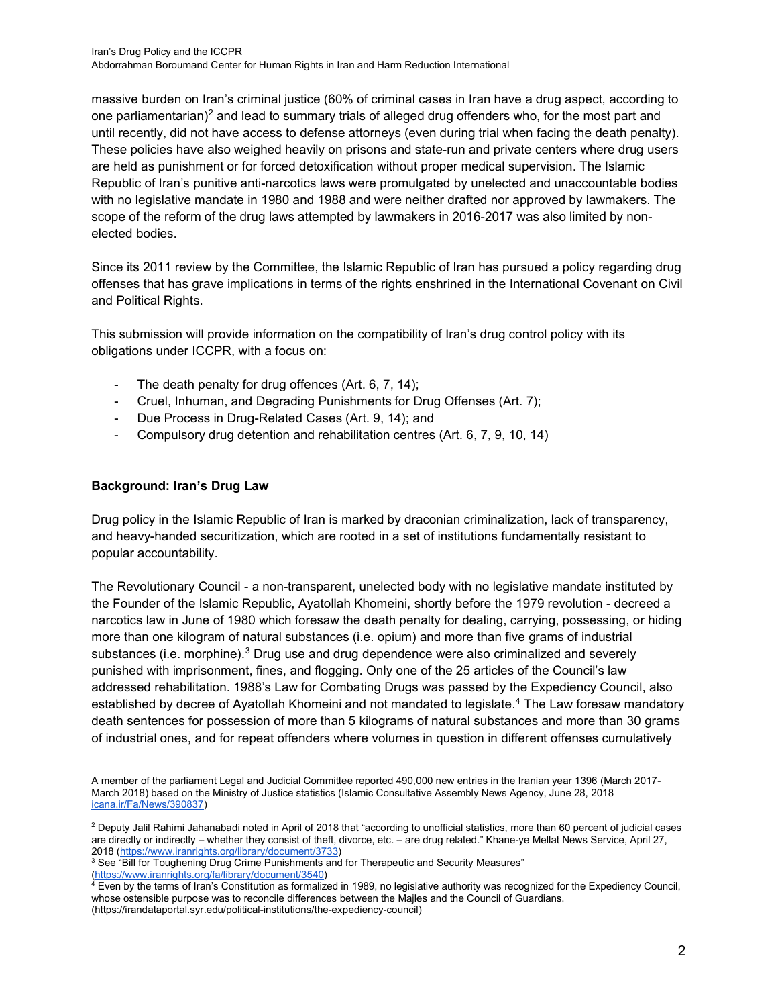massive burden on Iran's criminal justice (60% of criminal cases in Iran have a drug aspect, according to one parliamentarian)<sup>[2](#page-1-0)</sup> and lead to summary trials of alleged drug offenders who, for the most part and until recently, did not have access to defense attorneys (even during trial when facing the death penalty). These policies have also weighed heavily on prisons and state-run and private centers where drug users are held as punishment or for forced detoxification without proper medical supervision. The Islamic Republic of Iran's punitive anti-narcotics laws were promulgated by unelected and unaccountable bodies with no legislative mandate in 1980 and 1988 and were neither drafted nor approved by lawmakers. The scope of the reform of the drug laws attempted by lawmakers in 2016-2017 was also limited by nonelected bodies.

Since its 2011 review by the Committee, the Islamic Republic of Iran has pursued a policy regarding drug offenses that has grave implications in terms of the rights enshrined in the International Covenant on Civil and Political Rights.

This submission will provide information on the compatibility of Iran's drug control policy with its obligations under ICCPR, with a focus on:

- The death penalty for drug offences (Art. 6, 7, 14);
- Cruel, Inhuman, and Degrading Punishments for Drug Offenses (Art. 7);
- Due Process in Drug-Related Cases (Art. 9, 14); and
- Compulsory drug detention and rehabilitation centres (Art. 6, 7, 9, 10, 14)

## **Background: Iran's Drug Law**

Drug policy in the Islamic Republic of Iran is marked by draconian criminalization, lack of transparency, and heavy-handed securitization, which are rooted in a set of institutions fundamentally resistant to popular accountability.

The Revolutionary Council - a non-transparent, unelected body with no legislative mandate instituted by the Founder of the Islamic Republic, Ayatollah Khomeini, shortly before the 1979 revolution - decreed a narcotics law in June of 1980 which foresaw the death penalty for dealing, carrying, possessing, or hiding more than one kilogram of natural substances (i.e. opium) and more than five grams of industrial substances (i.e. morphine).<sup>[3](#page-1-1)</sup> Drug use and drug dependence were also criminalized and severely punished with imprisonment, fines, and flogging. Only one of the 25 articles of the Council's law addressed rehabilitation. 1988's Law for Combating Drugs was passed by the Expediency Council, also established by decree of Ayatollah Khomeini and not mandated to legislate.<sup>[4](#page-1-2)</sup> The Law foresaw mandatory death sentences for possession of more than 5 kilograms of natural substances and more than 30 grams of industrial ones, and for repeat offenders where volumes in question in different offenses cumulatively

A member of the parliament Legal and Judicial Committee reported 490,000 new entries in the Iranian year 1396 (March 2017- March 2018) based on the Ministry of Justice statistics (Islamic Consultative Assembly News Agency, June 28, 2018 [icana.ir/Fa/News/390837\)](https://www.icana.ir/Fa/News/390837)

<span id="page-1-0"></span> $2$  Deputy Jalil Rahimi Jahanabadi noted in April of 2018 that "according to unofficial statistics, more than 60 percent of judicial cases are directly or indirectly – whether they consist of theft, divorce, etc. – are drug related." Khane-ye Mellat News Service, April 27, 2018 (https://www.iranrights.org/library/document/3733)

<span id="page-1-1"></span><sup>&</sup>lt;sup>3</sup> See "Bill for Toughening Drug Crime Punishments and for Therapeutic and Security Measures"

[<sup>\(</sup>https://www.iranrights.org/fa/library/document/3540\)](https://www.iranrights.org/fa/library/document/3540)  $^4$  Even by the terms of Iran's Constitution as formalized in 1989, no legislative authority was recognized for the Expediency Council,

<span id="page-1-2"></span>whose ostensible purpose was to reconcile differences between the Majles and the Council of Guardians. (https://irandataportal.syr.edu/political-institutions/the-expediency-council)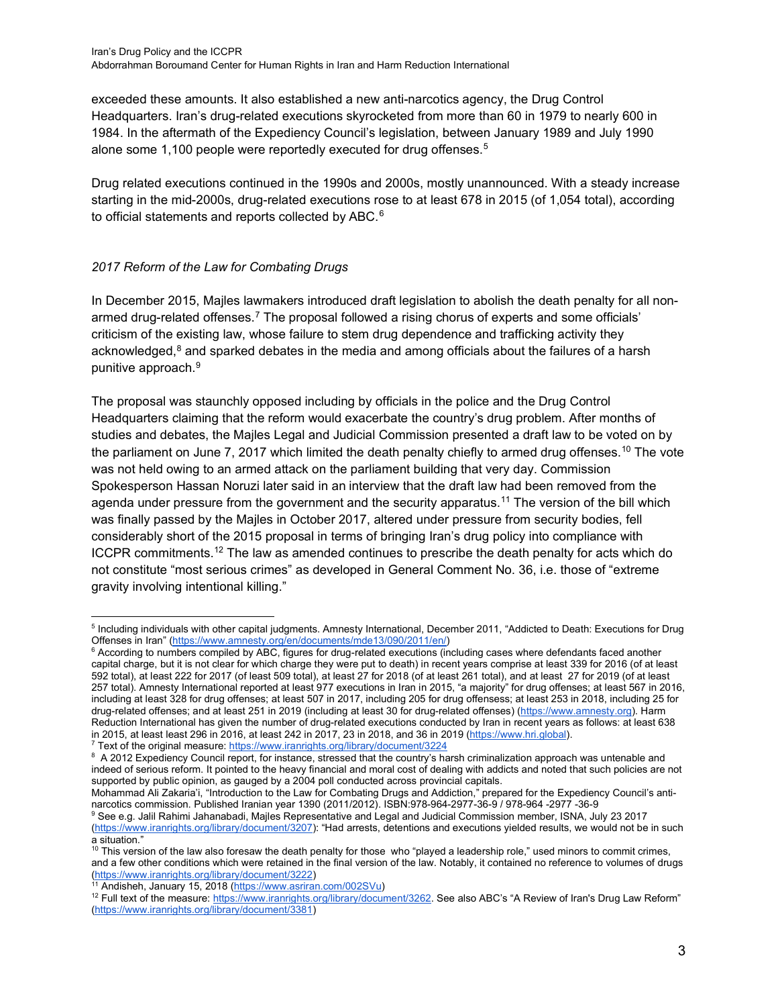exceeded these amounts. It also established a new anti-narcotics agency, the Drug Control Headquarters. Iran's drug-related executions skyrocketed from more than 60 in 1979 to nearly 600 in 1984. In the aftermath of the Expediency Council's legislation, between January 1989 and July 1990 alone some 1,100 people were reportedly executed for drug offenses.<sup>[5](#page-2-0)</sup>

Drug related executions continued in the 1990s and 2000s, mostly unannounced. With a steady increase starting in the mid-2000s, drug-related executions rose to at least 678 in 2015 (of 1,054 total), according to official statements and reports collected by ABC.<sup>[6](#page-2-1)</sup>

# *2017 Reform of the Law for Combating Drugs*

In December 2015, Majles lawmakers introduced draft legislation to abolish the death penalty for all non-armed drug-related offenses.<sup>[7](#page-2-2)</sup> The proposal followed a rising chorus of experts and some officials' criticism of the existing law, whose failure to stem drug dependence and trafficking activity they acknowledged,<sup>[8](#page-2-3)</sup> and sparked debates in the media and among officials about the failures of a harsh punitive approach.[9](#page-2-4)

The proposal was staunchly opposed including by officials in the police and the Drug Control Headquarters claiming that the reform would exacerbate the country's drug problem. After months of studies and debates, the Majles Legal and Judicial Commission presented a draft law to be voted on by the parliament on June 7, 2017 which limited the death penalty chiefly to armed drug offenses.<sup>[10](#page-2-5)</sup> The vote was not held owing to an armed attack on the parliament building that very day. Commission Spokesperson Hassan Noruzi later said in an interview that the draft law had been removed from the agenda under pressure from the government and the security apparatus.<sup>[11](#page-2-6)</sup> The version of the bill which was finally passed by the Majles in October 2017, altered under pressure from security bodies, fell considerably short of the 2015 proposal in terms of bringing Iran's drug policy into compliance with ICCPR commitments.<sup>[12](#page-2-7)</sup> The law as amended continues to prescribe the death penalty for acts which do not constitute "most serious crimes" as developed in General Comment No. 36, i.e. those of "extreme gravity involving intentional killing."

<span id="page-2-2"></span><sup>7</sup> Text of the original measure[: https://www.iranrights.org/library/document/3224](https://www.iranrights.org/library/document/3224)

<span id="page-2-0"></span><sup>5</sup> Including individuals with other capital judgments. Amnesty International, December 2011, "Addicted to Death: Executions for Drug Offenses in Iran" [\(https://www.amnesty.org/en/documents/mde13/090/2011/en/\)](https://www.amnesty.org/en/documents/mde13/090/2011/en/)

<span id="page-2-1"></span><sup>&</sup>lt;sup>6</sup> According to numbers compiled by ABC, figures for drug-related executions (including cases where defendants faced another capital charge, but it is not clear for which charge they were put to death) in recent years comprise at least 339 for 2016 (of at least 592 total), at least 222 for 2017 (of least 509 total), at least 27 for 2018 (of at least 261 total), and at least 27 for 2019 (of at least 257 total). Amnesty International reported at least 977 executions in Iran in 2015, "a majority" for drug offenses; at least 567 in 2016, including at least 328 for drug offenses; at least 507 in 2017, including 205 for drug offensess; at least 253 in 2018, including 25 for drug-related offenses; and at least 251 in 2019 (including at least 30 for drug-related offenses) [\(https://www.amnesty.org\)](https://www.amnesty.org/). Harm Reduction International has given the number of drug-related executions conducted by Iran in recent years as follows: at least 638 in 2015, at least least 296 in 2016, at least 242 in 2017, 23 in 2018, and 36 in 2019 [\(https://www.hri.global\)](https://www.hri.global/?no-splash=true).

<span id="page-2-3"></span> $^{\rm 8}$  A 2012 Expediency Council report, for instance, stressed that the country's harsh criminalization approach was untenable and indeed of serious reform. It pointed to the heavy financial and moral cost of dealing with addicts and noted that such policies are not supported by public opinion, as gauged by a 2004 poll conducted across provincial capitals.

Mohammad Ali Zakaria'i, "Introduction to the Law for Combating Drugs and Addiction," prepared for the Expediency Council's antinarcotics commission. Published Iranian year 1390 (2011/2012). ISBN:978-964-2977-36-9 / 978-964 -2977 -36-9

<span id="page-2-4"></span><sup>9</sup> See e.g. Jalil Rahimi Jahanabadi, Majles Representative and Legal and Judicial Commission member, ISNA, July 23 2017 [\(https://www.iranrights.org/library/document/3207\):](https://www.iranrights.org/library/document/3207) "Had arrests, detentions and executions yielded results, we would not be in such a situation."

<span id="page-2-5"></span><sup>&</sup>lt;sup>10</sup> This version of the law also foresaw the death penalty for those who "played a leadership role," used minors to commit crimes, and a few other conditions which were retained in the final version of the law. Notably, it contained no reference to volumes of drugs [\(https://www.iranrights.org/library/document/3222\)](https://www.iranrights.org/library/document/3222)

<span id="page-2-6"></span><sup>&</sup>lt;sup>11</sup> Andisheh, January 15, 2018 [\(https://www.asriran.com/002SVu\)](https://www.asriran.com/002SVu)

<span id="page-2-7"></span><sup>&</sup>lt;sup>12</sup> Full text of the measure: [https://www.iranrights.org/library/document/3262.](https://www.iranrights.org/library/document/3262) See also ABC's "A Review of Iran's Drug Law Reform" [\(https://www.iranrights.org/library/document/3381\)](https://www.iranrights.org/library/document/3381)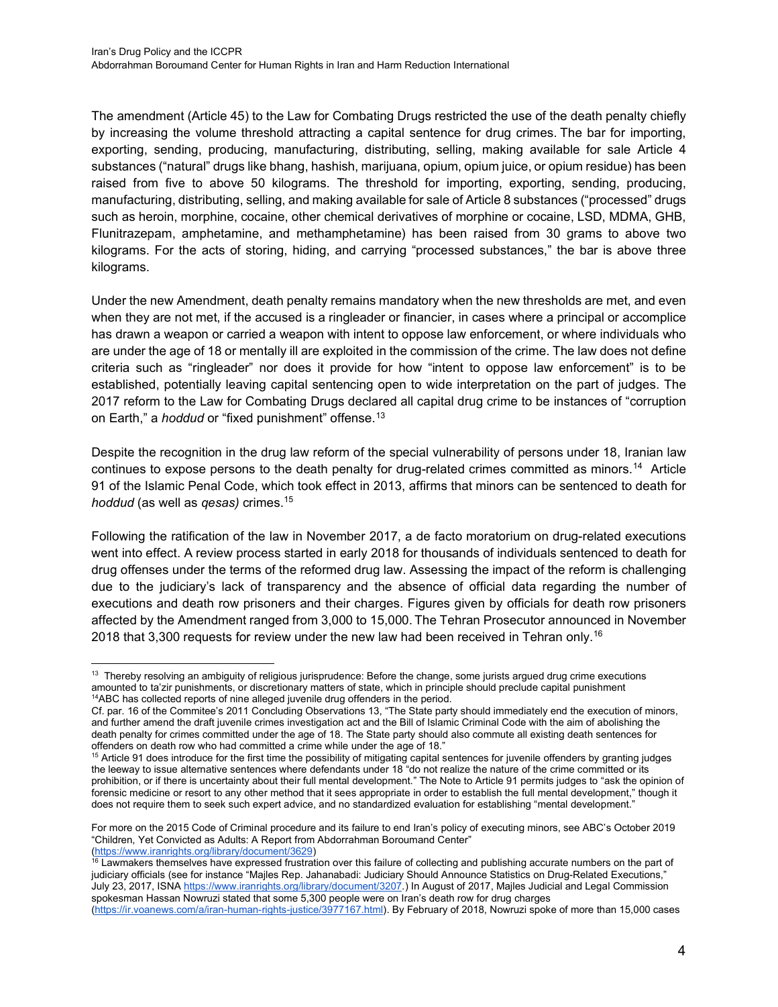The amendment (Article 45) to the Law for Combating Drugs restricted the use of the death penalty chiefly by increasing the volume threshold attracting a capital sentence for drug crimes. The bar for importing, exporting, sending, producing, manufacturing, distributing, selling, making available for sale Article 4 substances ("natural" drugs like bhang, hashish, marijuana, opium, opium juice, or opium residue) has been raised from five to above 50 kilograms. The threshold for importing, exporting, sending, producing, manufacturing, distributing, selling, and making available for sale of Article 8 substances ("processed" drugs such as heroin, morphine, cocaine, other chemical derivatives of morphine or cocaine, LSD, MDMA, GHB, Flunitrazepam, amphetamine, and methamphetamine) has been raised from 30 grams to above two kilograms. For the acts of storing, hiding, and carrying "processed substances," the bar is above three kilograms.

Under the new Amendment, death penalty remains mandatory when the new thresholds are met, and even when they are not met, if the accused is a ringleader or financier, in cases where a principal or accomplice has drawn a weapon or carried a weapon with intent to oppose law enforcement, or where individuals who are under the age of 18 or mentally ill are exploited in the commission of the crime. The law does not define criteria such as "ringleader" nor does it provide for how "intent to oppose law enforcement" is to be established, potentially leaving capital sentencing open to wide interpretation on the part of judges. The 2017 reform to the Law for Combating Drugs declared all capital drug crime to be instances of "corruption on Earth," a *hoddud* or "fixed punishment" offense.[13](#page-3-0)

Despite the recognition in the drug law reform of the special vulnerability of persons under 18, Iranian law continues to expose persons to the death penalty for drug-related crimes committed as minors.<sup>14</sup> Article 91 of the Islamic Penal Code, which took effect in 2013, affirms that minors can be sentenced to death for *hoddud* (as well as *qesas)* crimes.[15](#page-3-2)

Following the ratification of the law in November 2017, a de facto moratorium on drug-related executions went into effect. A review process started in early 2018 for thousands of individuals sentenced to death for drug offenses under the terms of the reformed drug law. Assessing the impact of the reform is challenging due to the judiciary's lack of transparency and the absence of official data regarding the number of executions and death row prisoners and their charges. Figures given by officials for death row prisoners affected by the Amendment ranged from 3,000 to 15,000. The Tehran Prosecutor announced in November 2018 that 3,300 requests for review under the new law had been received in Tehran only.<sup>[16](#page-3-3)</sup>

[\(https://ir.voanews.com/a/iran-human-rights-justice/3977167.html\)](https://ir.voanews.com/a/iran-human-rights-justice/3977167.html). By February of 2018, Nowruzi spoke of more than 15,000 cases

<span id="page-3-0"></span><sup>&</sup>lt;sup>13</sup> Thereby resolving an ambiguity of religious jurisprudence: Before the change, some jurists argued drug crime executions amounted to ta'zir punishments, or discretionary matters of state, which in principle should preclude capital punishment <sup>14</sup>ABC has collected reports of nine alleged juvenile drug offenders in the period.

<span id="page-3-1"></span>Cf. par. 16 of the Commitee's 2011 Concluding Observations 13, "The State party should immediately end the execution of minors, and further amend the draft juvenile crimes investigation act and the Bill of Islamic Criminal Code with the aim of abolishing the death penalty for crimes committed under the age of 18. The State party should also commute all existing death sentences for offenders on death row who had committed a crime while under the age of 18."

<span id="page-3-2"></span><sup>&</sup>lt;sup>15</sup> Article 91 does introduce for the first time the possibility of mitigating capital sentences for juvenile offenders by granting judges the leeway to issue alternative sentences where defendants under 18 "do not realize the nature of the crime committed or its prohibition, or if there is uncertainty about their full mental development." The Note to Article 91 permits judges to "ask the opinion of forensic medicine or resort to any other method that it sees appropriate in order to establish the full mental development," though it does not require them to seek such expert advice, and no standardized evaluation for establishing "mental development."

For more on the 2015 Code of Criminal procedure and its failure to end Iran's policy of executing minors, see ABC's October 2019 "Children, Yet Convicted as Adults: A Report from Abdorrahman Boroumand Center" [\(https://www.iranrights.org/library/document/3629\)](https://www.iranrights.org/library/document/3629)

<span id="page-3-3"></span> $16$  Lawmakers themselves have expressed frustration over this failure of collecting and publishing accurate numbers on the part of judiciary officials (see for instance "Majles Rep. Jahanabadi: Judiciary Should Announce Statistics on Drug-Related Executions," July 23, 2017, ISNA [https://www.iranrights.org/library/document/3207.\)](https://www.iranrights.org/library/document/3207) In August of 2017, Majles Judicial and Legal Commission spokesman Hassan Nowruzi stated that some 5,300 people were on Iran's death row for drug charges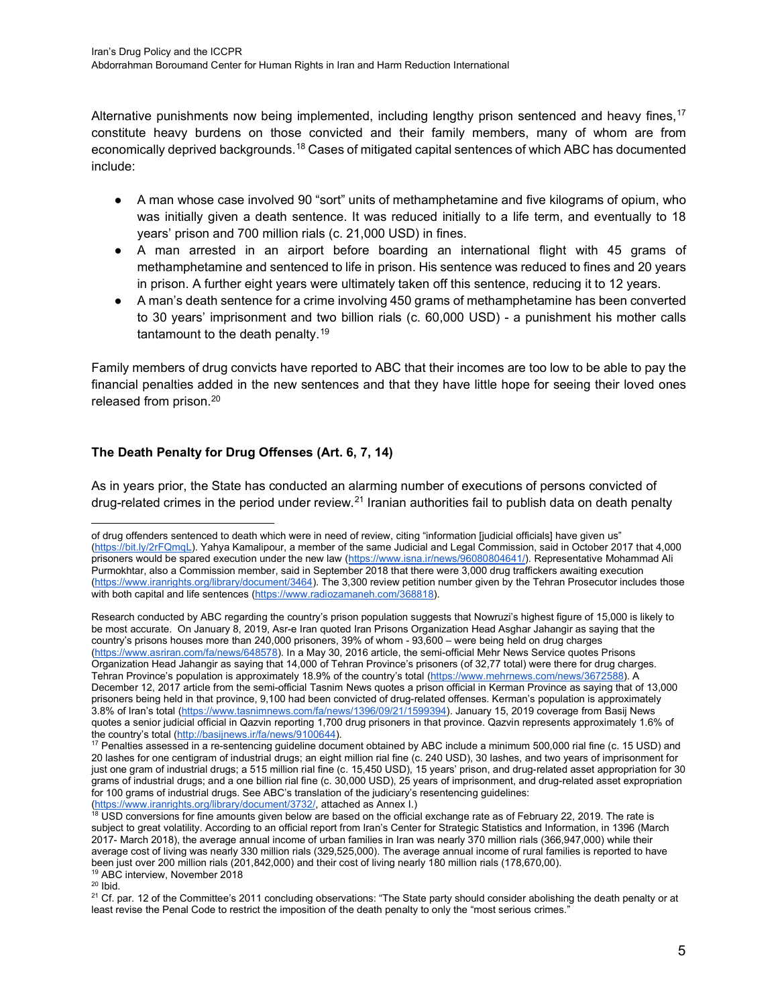Alternative punishments now being implemented, including lengthy prison sentenced and heavy fines,<sup>[17](#page-4-0)</sup> constitute heavy burdens on those convicted and their family members, many of whom are from economically deprived backgrounds.[18](#page-4-1) Cases of mitigated capital sentences of which ABC has documented include:

- A man whose case involved 90 "sort" units of methamphetamine and five kilograms of opium, who was initially given a death sentence. It was reduced initially to a life term, and eventually to 18 years' prison and 700 million rials (c. 21,000 USD) in fines.
- A man arrested in an airport before boarding an international flight with 45 grams of methamphetamine and sentenced to life in prison. His sentence was reduced to fines and 20 years in prison. A further eight years were ultimately taken off this sentence, reducing it to 12 years.
- A man's death sentence for a crime involving 450 grams of methamphetamine has been converted to 30 years' imprisonment and two billion rials (c. 60,000 USD) - a punishment his mother calls tantamount to the death penalty.<sup>[19](#page-4-2)</sup>

Family members of drug convicts have reported to ABC that their incomes are too low to be able to pay the financial penalties added in the new sentences and that they have little hope for seeing their loved ones released from prison.[20](#page-4-3)

# **The Death Penalty for Drug Offenses (Art. 6, 7, 14)**

As in years prior, the State has conducted an alarming number of executions of persons convicted of drug-related crimes in the period under review.<sup>[21](#page-4-4)</sup> Iranian authorities fail to publish data on death penalty

Research conducted by ABC regarding the country's prison population suggests that Nowruzi's highest figure of 15,000 is likely to be most accurate. On January 8, 2019, Asr-e Iran quoted Iran Prisons Organization Head Asghar Jahangir as saying that the country's prisons houses more than 240,000 prisoners, 39% of whom - 93,600 – were being held on drug charges [\(https://www.asriran.com/fa/news/648578\)](https://www.asriran.com/fa/news/648578). In a May 30, 2016 article, the semi-official Mehr News Service quotes Prisons Organization Head Jahangir as saying that 14,000 of Tehran Province's prisoners (of 32,77 total) were there for drug charges. Tehran Province's population is approximately 18.9% of the country's total [\(https://www.mehrnews.com/news/3672588\).](https://www.mehrnews.com/news/3672588) A December 12, 2017 article from the semi-official Tasnim News quotes a prison official in Kerman Province as saying that of 13,000 prisoners being held in that province, 9,100 had been convicted of drug-related offenses. Kerman's population is approximately 3.8% of Iran's total [\(https://www.tasnimnews.com/fa/news/1396/09/21/1599394\)](https://www.tasnimnews.com/fa/news/1396/09/21/1599394). January 15, 2019 coverage from Basij News quotes a senior judicial official in Qazvin reporting 1,700 drug prisoners in that province. Qazvin represents approximately 1.6% of<br>the country's total (http://basijnews.ir/fa/news/9100644).

<span id="page-4-3"></span><span id="page-4-2"></span> $20$  Ibid.

of drug offenders sentenced to death which were in need of review, citing "information [judicial officials] have given us" [\(https://bit.ly/2rFQmqL\)](https://bit.ly/2rFQmqL). Yahya Kamalipour, a member of the same Judicial and Legal Commission, said in October 2017 that 4,000 prisoners would be spared execution under the new law [\(https://www.isna.ir/news/96080804641/\)](https://www.isna.ir/news/96080804641/). Representative Mohammad Ali Purmokhtar, also a Commission member, said in September 2018 that there were 3,000 drug traffickers awaiting execution [\(https://www.iranrights.org/library/document/3464\).](https://www.iranrights.org/library/document/3464) The 3,300 review petition number given by the Tehran Prosecutor includes those with both capital and life sentences [\(https://www.radiozamaneh.com/368818\)](https://www.radiozamaneh.com/368818).

<span id="page-4-0"></span> $17$  Penalties assessed in a re-sentencing guideline document obtained by ABC include a minimum 500,000 rial fine (c. 15 USD) and 20 lashes for one centigram of industrial drugs; an eight million rial fine (c. 240 USD), 30 lashes, and two years of imprisonment for just one gram of industrial drugs; a 515 million rial fine (c. 15,450 USD), 15 years' prison, and drug-related asset appropriation for 30 grams of industrial drugs; and a one billion rial fine (c. 30,000 USD), 25 years of imprisonment, and drug-related asset expropriation for 100 grams of industrial drugs. See ABC's translation of the judiciary's resentencing guidelines: [\(https://www.iranrights.org/library/document/3732/,](https://www.iranrights.org/library/document/3732/) attached as Annex I.)

<span id="page-4-1"></span> $18$  USD conversions for fine amounts given below are based on the official exchange rate as of February 22, 2019. The rate is subject to great volatility. According to an official report from Iran's Center for Strategic Statistics and Information, in 1396 (March 2017- March 2018), the average annual income of urban families in Iran was nearly 370 million rials (366,947,000) while their average cost of living was nearly 330 million rials (329,525,000). The average annual income of rural families is reported to have been just over 200 million rials (201,842,000) and their cost of living nearly 180 million rials (178,670,00). <sup>19</sup> ABC interview, November 2018

<span id="page-4-4"></span><sup>&</sup>lt;sup>21</sup> Cf. par. 12 of the Committee's 2011 concluding observations: "The State party should consider abolishing the death penalty or at least revise the Penal Code to restrict the imposition of the death penalty to only the "most serious crimes."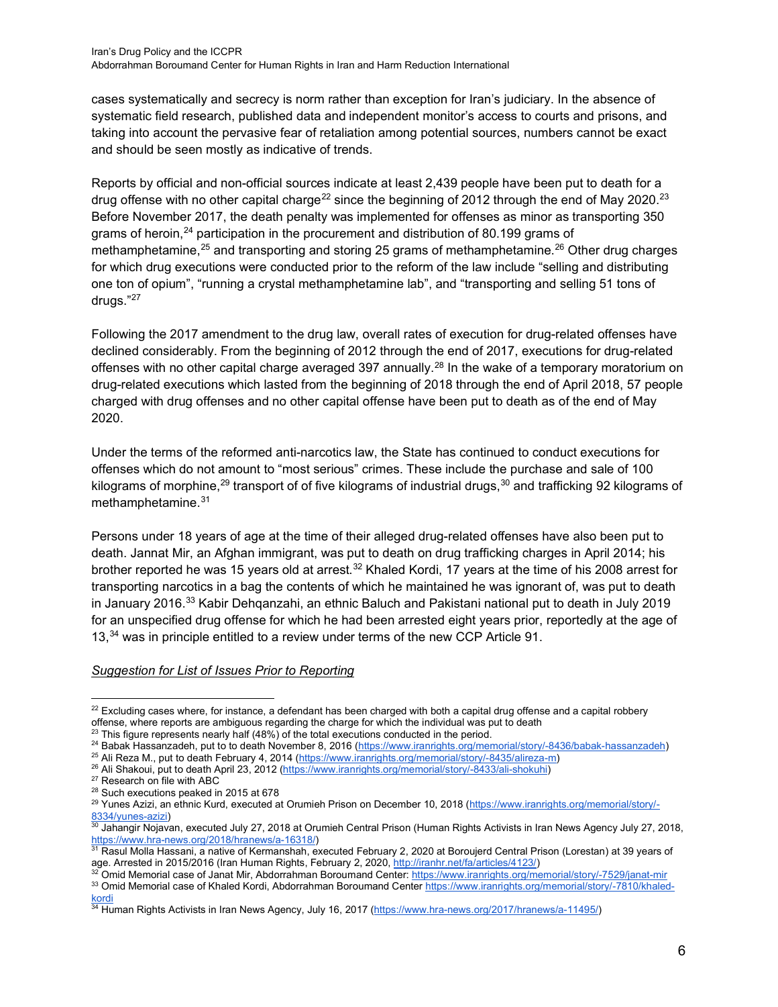cases systematically and secrecy is norm rather than exception for Iran's judiciary. In the absence of systematic field research, published data and independent monitor's access to courts and prisons, and taking into account the pervasive fear of retaliation among potential sources, numbers cannot be exact and should be seen mostly as indicative of trends.

Reports by official and non-official sources indicate at least 2,439 people have been put to death for a drug offense with no other capital charge<sup>[22](#page-5-0)</sup> since the beginning of 2012 through the end of May 2020.<sup>[23](#page-5-1)</sup> Before November 2017, the death penalty was implemented for offenses as minor as transporting 350 grams of heroin,<sup>[24](#page-5-2)</sup> participation in the procurement and distribution of 80.199 grams of methamphetamine, $25$  and transporting and storing 25 grams of methamphetamine. $26$  Other drug charges for which drug executions were conducted prior to the reform of the law include "selling and distributing one ton of opium", "running a crystal methamphetamine lab", and "transporting and selling 51 tons of drugs."[27](#page-5-5)

Following the 2017 amendment to the drug law, overall rates of execution for drug-related offenses have declined considerably. From the beginning of 2012 through the end of 2017, executions for drug-related offenses with no other capital charge averaged 397 annually.<sup>[28](#page-5-6)</sup> In the wake of a temporary moratorium on drug-related executions which lasted from the beginning of 2018 through the end of April 2018, 57 people charged with drug offenses and no other capital offense have been put to death as of the end of May 2020.

Under the terms of the reformed anti-narcotics law, the State has continued to conduct executions for offenses which do not amount to "most serious" crimes. These include the purchase and sale of 100 kilograms of morphine,<sup>[29](#page-5-7)</sup> transport of of five kilograms of industrial drugs,<sup>[30](#page-5-8)</sup> and trafficking 92 kilograms of methamphetamine.[31](#page-5-9)

Persons under 18 years of age at the time of their alleged drug-related offenses have also been put to death. Jannat Mir, an Afghan immigrant, was put to death on drug trafficking charges in April 2014; his brother reported he was 15 years old at arrest.<sup>[32](#page-5-10)</sup> Khaled Kordi, 17 years at the time of his 2008 arrest for transporting narcotics in a bag the contents of which he maintained he was ignorant of, was put to death in January 2016.<sup>[33](#page-5-11)</sup> Kabir Dehganzahi, an ethnic Baluch and Pakistani national put to death in July 2019 for an unspecified drug offense for which he had been arrested eight years prior, reportedly at the age of 13,<sup>[34](#page-5-12)</sup> was in principle entitled to a review under terms of the new CCP Article 91.

<span id="page-5-0"></span> $22$  Excluding cases where, for instance, a defendant has been charged with both a capital drug offense and a capital robbery offense, where reports are ambiguous regarding the charge for which the individual was put to death

 $^{23}$  This figure represents nearly half (48%) of the total executions conducted in the period.

<span id="page-5-2"></span><span id="page-5-1"></span><sup>24</sup> Babak Hassanzadeh, put to to death November 8, 2016 [\(https://www.iranrights.org/memorial/story/-8436/babak-hassanzadeh\)](https://www.iranrights.org/memorial/story/-8436/babak-hassanzadeh)

<span id="page-5-3"></span><sup>25</sup> Ali Reza M., put to death February 4, 2014 [\(https://www.iranrights.org/memorial/story/-8435/alireza-m\)](https://www.iranrights.org/memorial/story/-8435/alireza-m)

<span id="page-5-4"></span><sup>&</sup>lt;sup>26</sup> Ali Shakoui, put to death April 23, 2012 [\(https://www.iranrights.org/memorial/story/-8433/ali-shokuhi\)](https://www.iranrights.org/memorial/story/-8433/ali-shokuhi)

<span id="page-5-5"></span><sup>27</sup> Research on file with ABC

<sup>28</sup> Such executions peaked in 2015 at 678

<span id="page-5-7"></span><span id="page-5-6"></span><sup>&</sup>lt;sup>29</sup> Yunes Azizi, an ethnic Kurd, executed at Orumieh Prison on December 10, 2018 [\(https://www.iranrights.org/memorial/story/-](https://www.iranrights.org/memorial/story/-8334/yunes-azizi)  $8334/y$ unes-azizi)<br> $30$ , Johanni

<span id="page-5-8"></span><sup>30</sup> Jahangir Nojavan, executed July 27, 2018 at Orumieh Central Prison (Human Rights Activists in Iran News Agency July 27, 2018, [https://www.hra-news.org/2018/hranews/a-16318/\)](https://www.hra-news.org/2018/hranews/a-16318/)

<span id="page-5-9"></span><sup>31</sup> Rasul Molla Hassani, a native of Kermanshah, executed February 2, 2020 at Boroujerd Central Prison (Lorestan) at 39 years of age. Arrested in 2015/2016 (Iran Human Rights, February 2, 2020, [http://iranhr.net/fa/articles/4123/\)](http://iranhr.net/fa/articles/4123/)

<span id="page-5-11"></span><span id="page-5-10"></span>Omid Memorial case of Janat Mir, Abdorrahman Boroumand Center[: https://www.iranrights.org/memorial/story/-7529/janat-mir](https://www.iranrights.org/memorial/story/-7529/janat-mir) 33 Omid Memorial case of Khaled Kordi, Abdorrahman Boroumand Center [https://www.iranrights.org/memorial/story/-7810/khaled](https://www.iranrights.org/memorial/story/-7810/khaled-kordi)<u>[kordi](https://www.iranrights.org/memorial/story/-7810/khaled-kordi)</u>

<span id="page-5-12"></span><sup>&</sup>lt;sup>34</sup> Human Rights Activists in Iran News Agency, July 16, 2017 (<u>https://www.hra-news.org/2017/hranews/a-11495/</u>)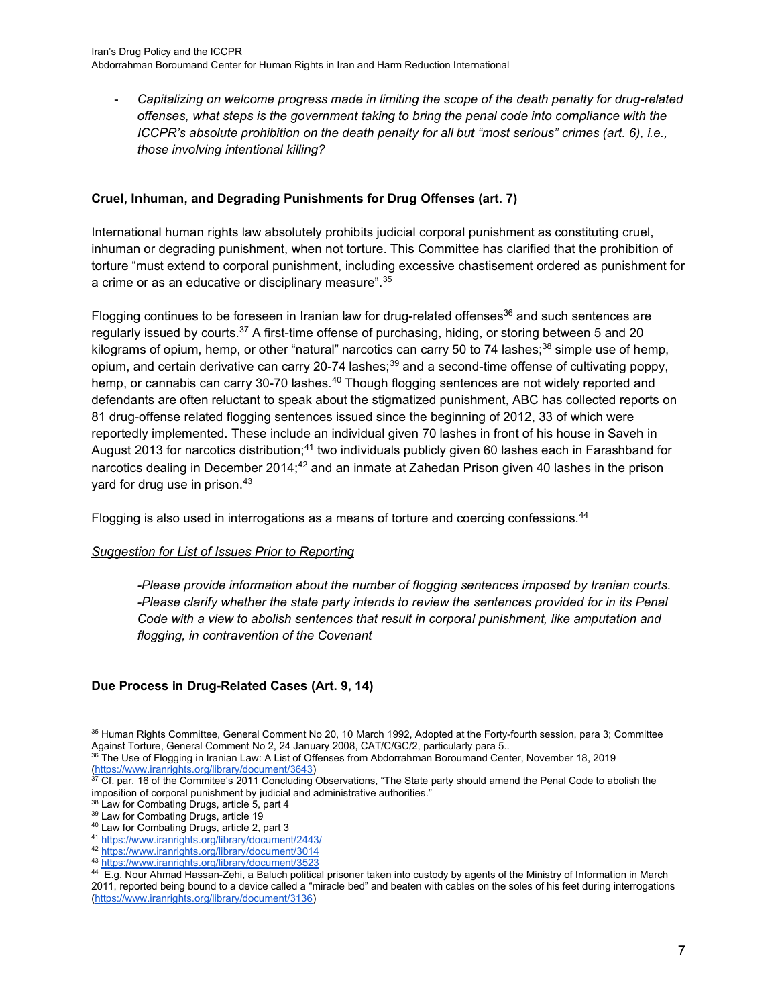- *Capitalizing on welcome progress made in limiting the scope of the death penalty for drug-related offenses, what steps is the government taking to bring the penal code into compliance with the ICCPR's absolute prohibition on the death penalty for all but "most serious" crimes (art. 6), i.e., those involving intentional killing?*

## **Cruel, Inhuman, and Degrading Punishments for Drug Offenses (art. 7)**

International human rights law absolutely prohibits judicial corporal punishment as constituting cruel, inhuman or degrading punishment, when not torture. This Committee has clarified that the prohibition of torture "must extend to corporal punishment, including excessive chastisement ordered as punishment for a crime or as an educative or disciplinary measure".[35](#page-6-0)

Flogging continues to be foreseen in Iranian law for drug-related offenses $36$  and such sentences are regularly issued by courts.<sup>[37](#page-6-2)</sup> A first-time offense of purchasing, hiding, or storing between 5 and 20 kilograms of opium, hemp, or other "natural" narcotics can carry 50 to 74 lashes; $38$  simple use of hemp, opium, and certain derivative can carry 20-74 lashes;<sup>[39](#page-6-4)</sup> and a second-time offense of cultivating poppy, hemp, or cannabis can carry 30-70 lashes.<sup>[40](#page-6-5)</sup> Though flogging sentences are not widely reported and defendants are often reluctant to speak about the stigmatized punishment, ABC has collected reports on 81 drug-offense related flogging sentences issued since the beginning of 2012, 33 of which were reportedly implemented. These include an individual given 70 lashes in front of his house in Saveh in August 2013 for narcotics distribution;<sup>[41](#page-6-6)</sup> two individuals publicly given 60 lashes each in Farashband for narcotics dealing in December 2014;<sup>[42](#page-6-7)</sup> and an inmate at Zahedan Prison given 40 lashes in the prison yard for drug use in prison.[43](#page-6-8)

Flogging is also used in interrogations as a means of torture and coercing confessions.<sup>[44](#page-6-9)</sup>

## *Suggestion for List of Issues Prior to Reporting*

*-Please provide information about the number of flogging sentences imposed by Iranian courts. -Please clarify whether the state party intends to review the sentences provided for in its Penal Code with a view to abolish sentences that result in corporal punishment, like amputation and flogging, in contravention of the Covenant*

## **Due Process in Drug-Related Cases (Art. 9, 14)**

<span id="page-6-0"></span><sup>35</sup> Human Rights Committee, General Comment No 20, 10 March 1992, Adopted at the Forty-fourth session, para 3; Committee Against Torture, General Comment No 2, 24 January 2008, CAT/C/GC/2, particularly para 5...<br><sup>36</sup> The Lise of Floreing in Institute, 1,000, 1,100, 2008, CAT/C/GC/2, particularly para 5...

<span id="page-6-1"></span><sup>36</sup> The Use of Flogging in Iranian Law: A List of Offenses from Abdorrahman Boroumand Center, November 18, 2019 (https://www.iran.com/ibrary/document/3643)<br>37 Of accument/3643)

<span id="page-6-2"></span>Cf. par. 16 of the Commitee's 2011 Concluding Observations, "The State party should amend the Penal Code to abolish the imposition of corporal punishment by judicial and administrative authorities.'

<sup>&</sup>lt;sup>38</sup> Law for Combating Drugs, article 5, part 4

<span id="page-6-4"></span><span id="page-6-3"></span><sup>&</sup>lt;sup>39</sup> Law for Combating Drugs, article 19

<span id="page-6-5"></span><sup>40</sup> Law for Combating Drugs, article 2, part 3

<span id="page-6-6"></span><sup>41</sup> [https://www.iranrights.org/library/document/2443/](https://www.iranrights.org/library/document/2443/public-flogging-in-saveh-an-individual-received-70-lashes-for-alleged-drug-trafficking)

<span id="page-6-7"></span><sup>42</sup> <https://www.iranrights.org/library/document/3014>

<span id="page-6-8"></span><sup>43</sup> <https://www.iranrights.org/library/document/3523>

<span id="page-6-9"></span><sup>44</sup> E.g. Nour Ahmad Hassan-Zehi, a Baluch political prisoner taken into custody by agents of the Ministry of Information in March 2011, reported being bound to a device called a "miracle bed" and beaten with cables on the soles of his feet during interrogations [\(https://www.iranrights.org/library/document/3136\)](https://www.iranrights.org/library/document/3136)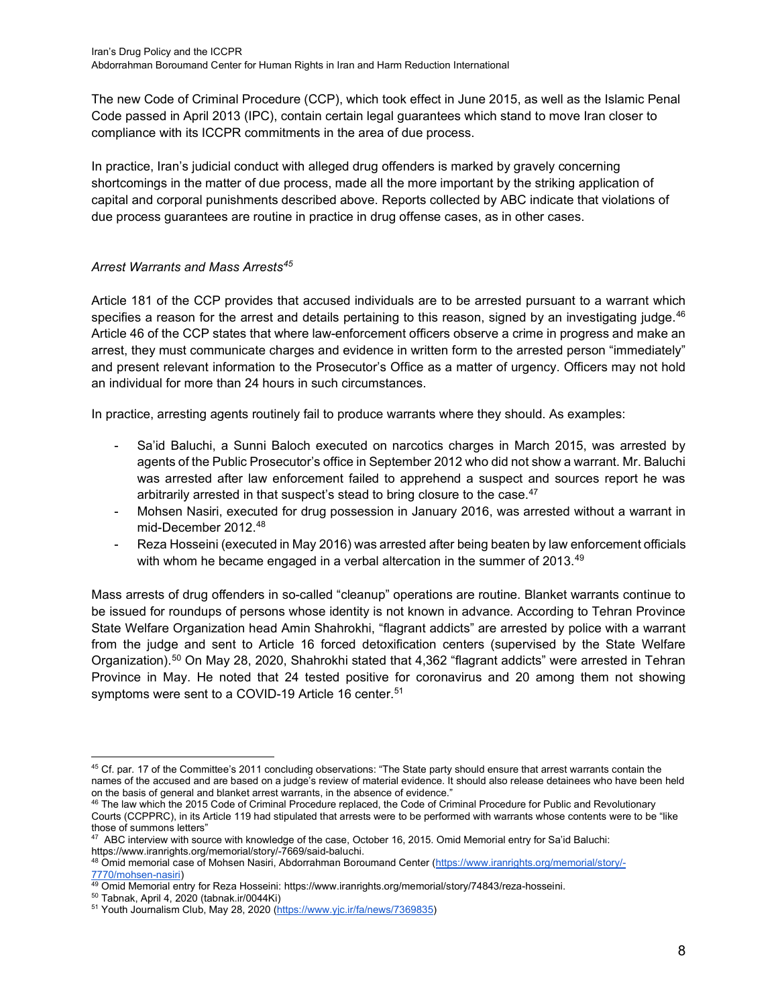The new Code of Criminal Procedure (CCP), which took effect in June 2015, as well as the Islamic Penal Code passed in April 2013 (IPC), contain certain legal guarantees which stand to move Iran closer to compliance with its ICCPR commitments in the area of due process.

In practice, Iran's judicial conduct with alleged drug offenders is marked by gravely concerning shortcomings in the matter of due process, made all the more important by the striking application of capital and corporal punishments described above. Reports collected by ABC indicate that violations of due process guarantees are routine in practice in drug offense cases, as in other cases.

## *Arrest Warrants and Mass Arrests[45](#page-7-0)*

Article 181 of the CCP provides that accused individuals are to be arrested pursuant to a warrant which specifies a reason for the arrest and details pertaining to this reason, signed by an investigating judge. $46$ Article 46 of the CCP states that where law-enforcement officers observe a crime in progress and make an arrest, they must communicate charges and evidence in written form to the arrested person "immediately" and present relevant information to the Prosecutor's Office as a matter of urgency. Officers may not hold an individual for more than 24 hours in such circumstances.

In practice, arresting agents routinely fail to produce warrants where they should. As examples:

- Sa'id Baluchi, a Sunni Baloch executed on narcotics charges in March 2015, was arrested by agents of the Public Prosecutor's office in September 2012 who did not show a warrant. Mr. Baluchi was arrested after law enforcement failed to apprehend a suspect and sources report he was arbitrarily arrested in that suspect's stead to bring closure to the case.<sup>[47](#page-7-2)</sup>
- Mohsen Nasiri, executed for drug possession in January 2016, was arrested without a warrant in mid-December 2012.[48](#page-7-3)
- Reza Hosseini (executed in May 2016) was arrested after being beaten by law enforcement officials with whom he became engaged in a verbal altercation in the summer of 2013.<sup>[49](#page-7-4)</sup>

Mass arrests of drug offenders in so-called "cleanup" operations are routine. Blanket warrants continue to be issued for roundups of persons whose identity is not known in advance. According to Tehran Province State Welfare Organization head Amin Shahrokhi, "flagrant addicts" are arrested by police with a warrant from the judge and sent to Article 16 forced detoxification centers (supervised by the State Welfare Organization).[50](#page-7-5) On May 28, 2020, Shahrokhi stated that 4,362 "flagrant addicts" were arrested in Tehran Province in May. He noted that 24 tested positive for coronavirus and 20 among them not showing symptoms were sent to a COVID-19 Article 16 center.<sup>51</sup>

<span id="page-7-0"></span><sup>&</sup>lt;sup>45</sup> Cf. par. 17 of the Committee's 2011 concluding observations: "The State party should ensure that arrest warrants contain the names of the accused and are based on a judge's review of material evidence. It should also release detainees who have been held on the basis of general and blanket arrest warrants, in the absence of evidence."

<span id="page-7-1"></span><sup>46</sup> The law which the 2015 Code of Criminal Procedure replaced, the Code of Criminal Procedure for Public and Revolutionary Courts (CCPPRC), in its Article 119 had stipulated that arrests were to be performed with warrants whose contents were to be "like those of summons letters"

<span id="page-7-2"></span><sup>47</sup> ABC interview with source with knowledge of the case, October 16, 2015. Omid Memorial entry for Sa'id Baluchi: [https://www.iranrights.org/memorial/story/-7669/said-baluchi.](https://www.iranrights.org/memorial/story/-7669/said-baluchi)

<span id="page-7-3"></span><sup>48</sup> Omid memorial case of Mohsen Nasiri, Abdorrahman Boroumand Center [\(https://www.iranrights.org/memorial/story/-](https://www.iranrights.org/memorial/story/-7770/mohsen-nasiri) [7770/mohsen-nasiri\)](https://www.iranrights.org/memorial/story/-7770/mohsen-nasiri)

<sup>49</sup> Omid Memorial entry for Reza Hosseini: [https://www.iranrights.org/memorial/story/74843/reza-hosseini.](https://www.iranrights.org/memorial/story/74843/reza-hosseini)

<span id="page-7-5"></span><span id="page-7-4"></span><sup>50</sup> Tabnak, April 4, 2020 (tabnak.ir/0044Ki)

<span id="page-7-6"></span><sup>51</sup> Youth Journalism Club, May 28, 2020 [\(https://www.yjc.ir/fa/news/7369835\)](https://www.yjc.ir/fa/news/7369835)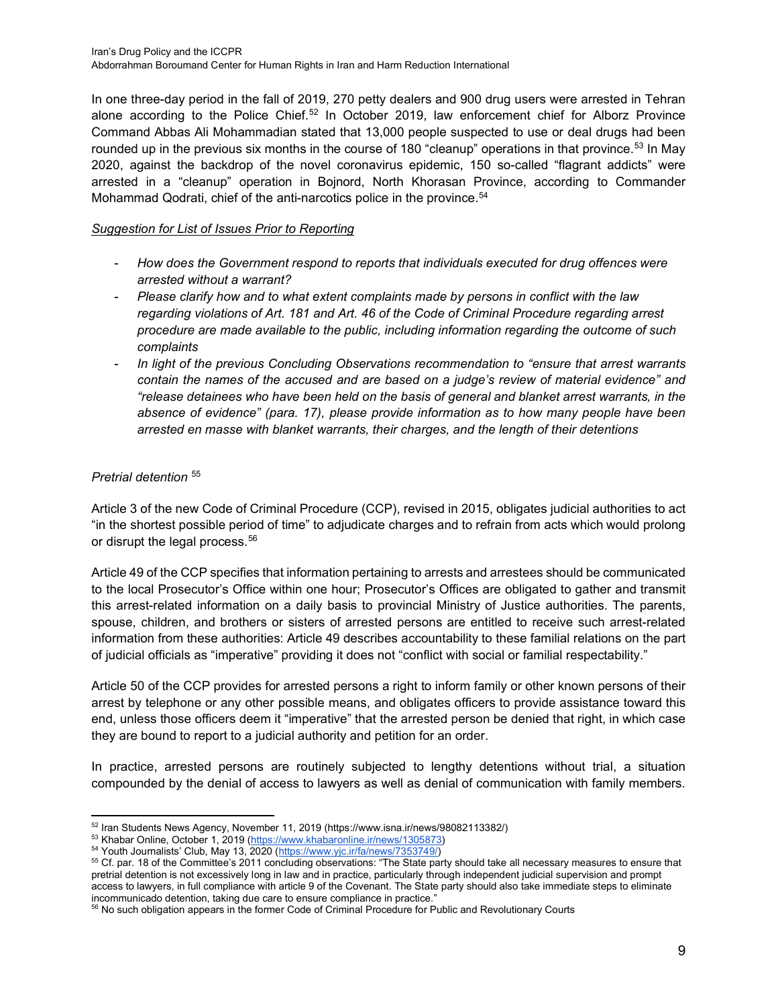In one three-day period in the fall of 2019, 270 petty dealers and 900 drug users were arrested in Tehran alone according to the Police Chief. $52$  In October 2019, law enforcement chief for Alborz Province Command Abbas Ali Mohammadian stated that 13,000 people suspected to use or deal drugs had been rounded up in the previous six months in the course of 180 "cleanup" operations in that province.<sup>[53](#page-8-1)</sup> In May 2020, against the backdrop of the novel coronavirus epidemic, 150 so-called "flagrant addicts" were arrested in a "cleanup" operation in Bojnord, North Khorasan Province, according to Commander Mohammad Qodrati, chief of the anti-narcotics police in the province.<sup>[54](#page-8-2)</sup>

## *Suggestion for List of Issues Prior to Reporting*

- *How does the Government respond to reports that individuals executed for drug offences were arrested without a warrant?*
- *Please clarify how and to what extent complaints made by persons in conflict with the law regarding violations of Art. 181 and Art. 46 of the Code of Criminal Procedure regarding arrest procedure are made available to the public, including information regarding the outcome of such complaints*
- In light of the previous Concluding Observations recommendation to "ensure that arrest warrants" *contain the names of the accused and are based on a judge's review of material evidence" and "release detainees who have been held on the basis of general and blanket arrest warrants, in the absence of evidence" (para. 17), please provide information as to how many people have been arrested en masse with blanket warrants, their charges, and the length of their detentions*

## *Pretrial detention* [55](#page-8-3)

Article 3 of the new Code of Criminal Procedure (CCP), revised in 2015, obligates judicial authorities to act "in the shortest possible period of time" to adjudicate charges and to refrain from acts which would prolong or disrupt the legal process.<sup>[56](#page-8-4)</sup>

Article 49 of the CCP specifies that information pertaining to arrests and arrestees should be communicated to the local Prosecutor's Office within one hour; Prosecutor's Offices are obligated to gather and transmit this arrest-related information on a daily basis to provincial Ministry of Justice authorities. The parents, spouse, children, and brothers or sisters of arrested persons are entitled to receive such arrest-related information from these authorities: Article 49 describes accountability to these familial relations on the part of judicial officials as "imperative" providing it does not "conflict with social or familial respectability."

Article 50 of the CCP provides for arrested persons a right to inform family or other known persons of their arrest by telephone or any other possible means, and obligates officers to provide assistance toward this end, unless those officers deem it "imperative" that the arrested person be denied that right, in which case they are bound to report to a judicial authority and petition for an order.

In practice, arrested persons are routinely subjected to lengthy detentions without trial, a situation compounded by the denial of access to lawyers as well as denial of communication with family members.

<sup>52</sup> Iran Students News Agency, November 11, 2019 (https://www.isna.ir/news/98082113382/)

<span id="page-8-2"></span><span id="page-8-1"></span><span id="page-8-0"></span><sup>53</sup> Khabar Online, October 1, 2019 [\(https://www.khabaronline.ir/news/1305873\)](https://www.khabaronline.ir/news/1305873)

<sup>54</sup> Youth Journalists' Club, May 13, 2020 [\(https://www.yjc.ir/fa/news/7353749/\)](https://www.yjc.ir/fa/news/7353749/)

<span id="page-8-3"></span><sup>55</sup> Cf. par. 18 of the Committee's 2011 concluding observations: "The State party should take all necessary measures to ensure that pretrial detention is not excessively long in law and in practice, particularly through independent judicial supervision and prompt access to lawyers, in full compliance with article 9 of the Covenant. The State party should also take immediate steps to eliminate incommunicado detention, taking due care to ensure compliance in practice."

<span id="page-8-4"></span><sup>56</sup> No such obligation appears in the former Code of Criminal Procedure for Public and Revolutionary Courts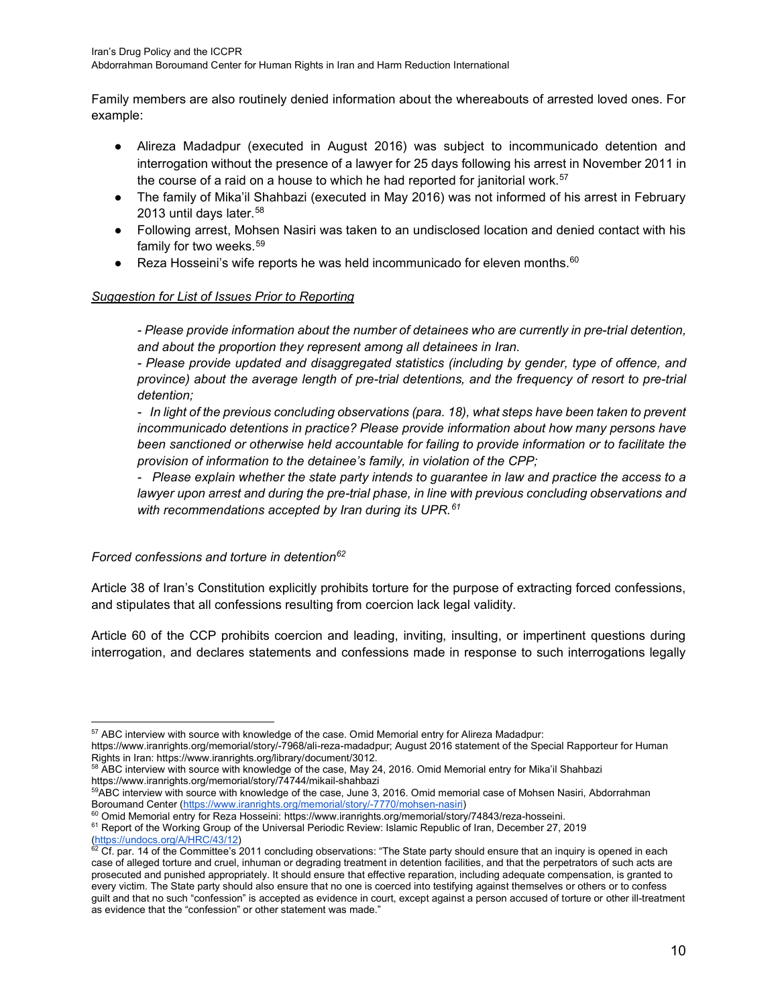Family members are also routinely denied information about the whereabouts of arrested loved ones. For example:

- Alireza Madadpur (executed in August 2016) was subject to incommunicado detention and interrogation without the presence of a lawyer for 25 days following his arrest in November 2011 in the course of a raid on a house to which he had reported for janitorial work.<sup>[57](#page-9-0)</sup>
- The family of Mika'il Shahbazi (executed in May 2016) was not informed of his arrest in February 2013 until days later.<sup>[58](#page-9-1)</sup>
- Following arrest, Mohsen Nasiri was taken to an undisclosed location and denied contact with his family for two weeks.<sup>[59](#page-9-2)</sup>
- **•** Reza Hosseini's wife reports he was held incommunicado for eleven months.<sup>[60](#page-9-3)</sup>

## *Suggestion for List of Issues Prior to Reporting*

*- Please provide information about the number of detainees who are currently in pre-trial detention, and about the proportion they represent among all detainees in Iran.* 

*- Please provide updated and disaggregated statistics (including by gender, type of offence, and province) about the average length of pre-trial detentions, and the frequency of resort to pre-trial detention;*

*- In light of the previous concluding observations (para. 18), what steps have been taken to prevent incommunicado detentions in practice? Please provide information about how many persons have been sanctioned or otherwise held accountable for failing to provide information or to facilitate the provision of information to the detainee's family, in violation of the CPP;*

*- Please explain whether the state party intends to guarantee in law and practice the access to a lawyer upon arrest and during the pre-trial phase, in line with previous concluding observations and with recommendations accepted by Iran during its UPR.[61](#page-9-4)*

## *Forced confessions and torture in detention[62](#page-9-5)*

Article 38 of Iran's Constitution explicitly prohibits torture for the purpose of extracting forced confessions, and stipulates that all confessions resulting from coercion lack legal validity.

Article 60 of the CCP prohibits coercion and leading, inviting, insulting, or impertinent questions during interrogation, and declares statements and confessions made in response to such interrogations legally

<span id="page-9-0"></span><sup>&</sup>lt;sup>57</sup> ABC interview with source with knowledge of the case. Omid Memorial entry for Alireza Madadpur:

[https://www.iranrights.org/memorial/story/-7968/ali-reza-madadpur;](https://www.iranrights.org/memorial/story/-7968/ali-reza-madadpur) August 2016 statement of the Special Rapporteur for Human Rights in Iran[: https://www.iranrights.org/library/document/3012.](https://www.iranrights.org/library/document/3012)

<span id="page-9-1"></span><sup>&</sup>lt;sup>58</sup> ABC interview with source with knowledge of the case, May 24, 2016. Omid Memorial entry for Mika'il Shahbazi <https://www.iranrights.org/memorial/story/74744/mikail-shahbazi>

<span id="page-9-2"></span><sup>&</sup>lt;sup>59</sup>ABC interview with source with knowledge of the case, June 3, 2016. Omid memorial case of Mohsen Nasiri, Abdorrahman Boroumand Center [\(https://www.iranrights.org/memorial/story/-7770/mohsen-nasiri\)](https://www.iranrights.org/memorial/story/-7770/mohsen-nasiri)

<span id="page-9-3"></span><sup>&</sup>lt;sup>60</sup> Omid Memorial entry for Reza Hosseini: [https://www.iranrights.org/memorial/story/74843/reza-hosseini.](https://www.iranrights.org/memorial/story/74843/reza-hosseini)

<span id="page-9-4"></span><sup>&</sup>lt;sup>61</sup> Report of the Working Group of the Universal Periodic Review: Islamic Republic of Iran, December 27, 2019 [\(https://undocs.org/A/HRC/43/12\)](https://undocs.org/A/HRC/43/12)

<span id="page-9-5"></span><sup>62</sup> Cf. par. 14 of the Committee's 2011 concluding observations: "The State party should ensure that an inquiry is opened in each case of alleged torture and cruel, inhuman or degrading treatment in detention facilities, and that the perpetrators of such acts are prosecuted and punished appropriately. It should ensure that effective reparation, including adequate compensation, is granted to every victim. The State party should also ensure that no one is coerced into testifying against themselves or others or to confess guilt and that no such "confession" is accepted as evidence in court, except against a person accused of torture or other ill-treatment as evidence that the "confession" or other statement was made."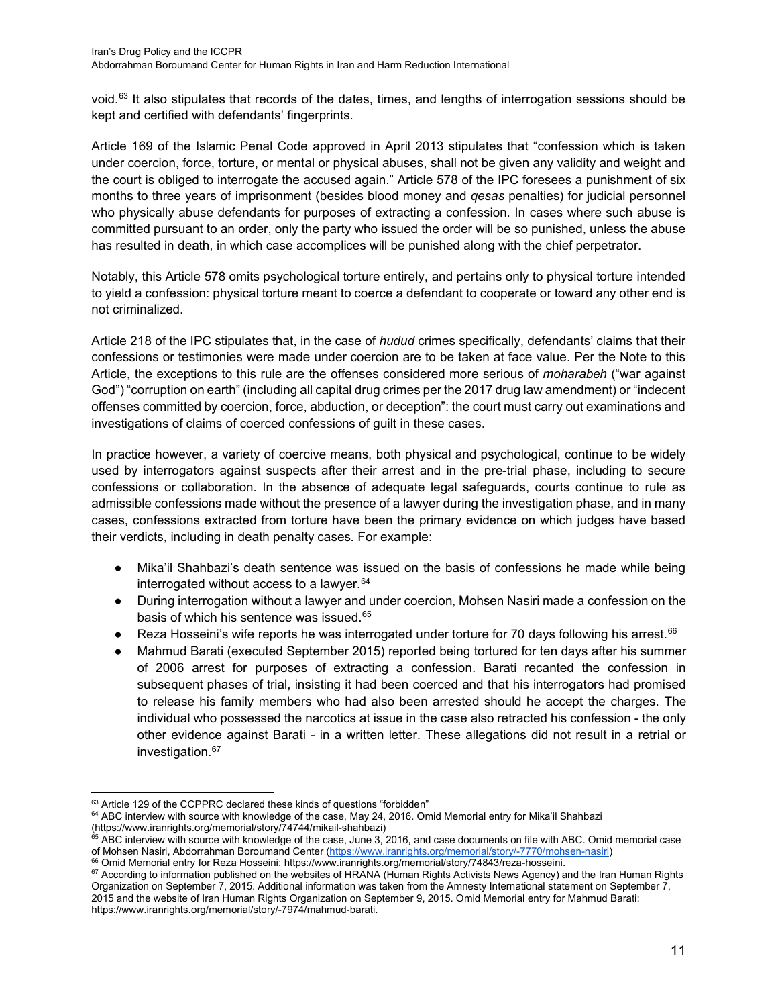void.<sup>[63](#page-10-0)</sup> It also stipulates that records of the dates, times, and lengths of interrogation sessions should be kept and certified with defendants' fingerprints.

Article 169 of the Islamic Penal Code approved in April 2013 stipulates that "confession which is taken under coercion, force, torture, or mental or physical abuses, shall not be given any validity and weight and the court is obliged to interrogate the accused again." Article 578 of the IPC foresees a punishment of six months to three years of imprisonment (besides blood money and *qesas* penalties) for judicial personnel who physically abuse defendants for purposes of extracting a confession. In cases where such abuse is committed pursuant to an order, only the party who issued the order will be so punished, unless the abuse has resulted in death, in which case accomplices will be punished along with the chief perpetrator.

Notably, this Article 578 omits psychological torture entirely, and pertains only to physical torture intended to yield a confession: physical torture meant to coerce a defendant to cooperate or toward any other end is not criminalized.

Article 218 of the IPC stipulates that, in the case of *hudud* crimes specifically, defendants' claims that their confessions or testimonies were made under coercion are to be taken at face value. Per the Note to this Article, the exceptions to this rule are the offenses considered more serious of *moharabeh* ("war against God") "corruption on earth" (including all capital drug crimes per the 2017 drug law amendment) or "indecent offenses committed by coercion, force, abduction, or deception": the court must carry out examinations and investigations of claims of coerced confessions of guilt in these cases.

In practice however, a variety of coercive means, both physical and psychological, continue to be widely used by interrogators against suspects after their arrest and in the pre-trial phase, including to secure confessions or collaboration. In the absence of adequate legal safeguards, courts continue to rule as admissible confessions made without the presence of a lawyer during the investigation phase, and in many cases, confessions extracted from torture have been the primary evidence on which judges have based their verdicts, including in death penalty cases. For example:

- Mika'il Shahbazi's death sentence was issued on the basis of confessions he made while being interrogated without access to a lawyer.  $64$
- During interrogation without a lawyer and under coercion, Mohsen Nasiri made a confession on the basis of which his sentence was issued.<sup>[65](#page-10-2)</sup>
- **•** Reza Hosseini's wife reports he was interrogated under torture for 70 days following his arrest.<sup>[66](#page-10-3)</sup>
- Mahmud Barati (executed September 2015) reported being tortured for ten days after his summer of 2006 arrest for purposes of extracting a confession. Barati recanted the confession in subsequent phases of trial, insisting it had been coerced and that his interrogators had promised to release his family members who had also been arrested should he accept the charges. The individual who possessed the narcotics at issue in the case also retracted his confession - the only other evidence against Barati - in a written letter. These allegations did not result in a retrial or investigation.<sup>[67](#page-10-4)</sup>

<span id="page-10-1"></span><span id="page-10-0"></span> $63$  Article 129 of the CCPPRC declared these kinds of questions "forbidden" 64 ABC interview with source with knowledge of the case, May 24, 2016. Omid Memorial entry for Mika'il Shahbazi [\(https://www.iranrights.org/memorial/story/74744/mikail-shahbazi\)](https://www.iranrights.org/memorial/story/74744/mikail-shahbazi)

<span id="page-10-2"></span> $^{65}$  ABC interview with source with knowledge of the case, June 3, 2016, and case documents on file with ABC. Omid memorial case of Mohsen Nasiri, Abdorrahman Boroumand Center [\(https://www.iranrights.org/memorial/story/-7770/mohsen-nasiri\)](https://www.iranrights.org/memorial/story/-7770/mohsen-nasiri)

<span id="page-10-3"></span><sup>66</sup> Omid Memorial entry for Reza Hosseini: [https://www.iranrights.org/memorial/story/74843/reza-hosseini.](https://www.iranrights.org/memorial/story/74843/reza-hosseini)

<span id="page-10-4"></span><sup>&</sup>lt;sup>67</sup> According to information published on the websites of HRANA (Human Rights Activists News Agency) and the Iran Human Rights Organization on September 7, 2015. Additional information was taken from the Amnesty International statement on September 7, 2015 and the website of Iran Human Rights Organization on September 9, 2015. Omid Memorial entry for Mahmud Barati: [https://www.iranrights.org/memorial/story/-7974/mahmud-barati.](https://www.iranrights.org/memorial/story/-7974/mahmud-barati)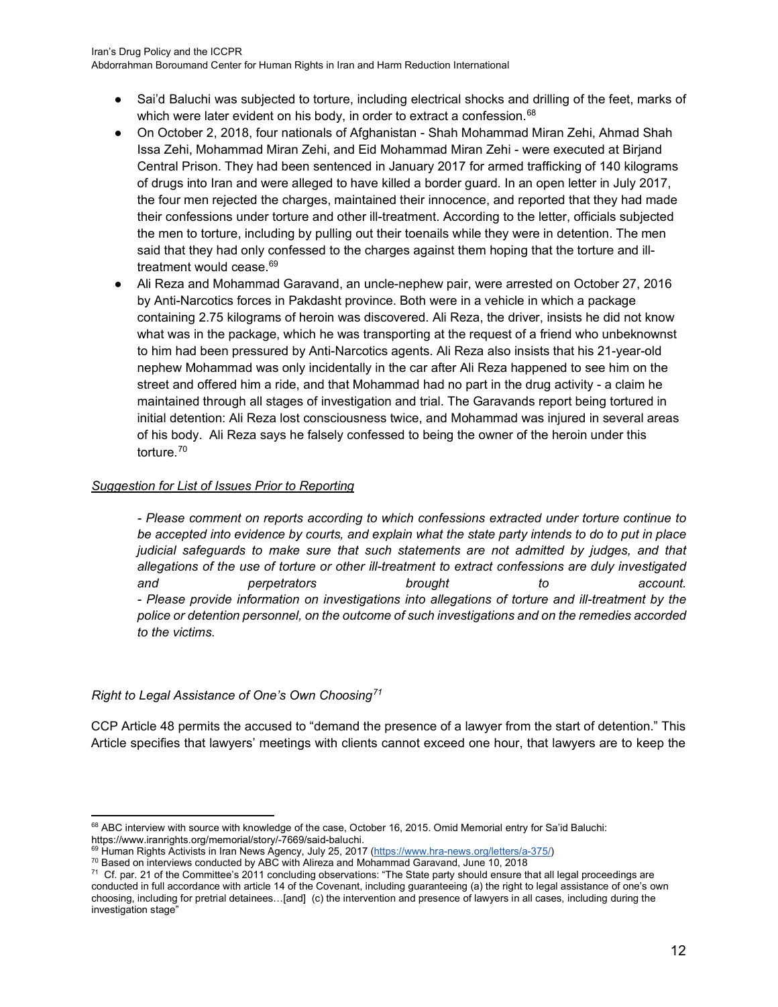- Sai'd Baluchi was subjected to torture, including electrical shocks and drilling of the feet, marks of which were later evident on his body, in order to extract a confession.<sup>[68](#page-11-0)</sup>
- On October 2, 2018, four nationals of Afghanistan Shah Mohammad Miran Zehi, Ahmad Shah Issa Zehi, Mohammad Miran Zehi, and Eid Mohammad Miran Zehi - were executed at Birjand Central Prison. They had been sentenced in January 2017 for armed trafficking of 140 kilograms of drugs into Iran and were alleged to have killed a border guard. In an open letter in July 2017, the four men rejected the charges, maintained their innocence, and reported that they had made their confessions under torture and other ill-treatment. According to the letter, officials subjected the men to torture, including by pulling out their toenails while they were in detention. The men said that they had only confessed to the charges against them hoping that the torture and ill-treatment would cease.<sup>[69](#page-11-1)</sup>
- Ali Reza and Mohammad Garavand, an uncle-nephew pair, were arrested on October 27, 2016 by Anti-Narcotics forces in Pakdasht province. Both were in a vehicle in which a package containing 2.75 kilograms of heroin was discovered. Ali Reza, the driver, insists he did not know what was in the package, which he was transporting at the request of a friend who unbeknownst to him had been pressured by Anti-Narcotics agents. Ali Reza also insists that his 21-year-old nephew Mohammad was only incidentally in the car after Ali Reza happened to see him on the street and offered him a ride, and that Mohammad had no part in the drug activity - a claim he maintained through all stages of investigation and trial. The Garavands report being tortured in initial detention: Ali Reza lost consciousness twice, and Mohammad was injured in several areas of his body. Ali Reza says he falsely confessed to being the owner of the heroin under this torture.[70](#page-11-2)

## *Suggestion for List of Issues Prior to Reporting*

*- Please comment on reports according to which confessions extracted under torture continue to be accepted into evidence by courts, and explain what the state party intends to do to put in place judicial safeguards to make sure that such statements are not admitted by judges, and that allegations of the use of torture or other ill-treatment to extract confessions are duly investigated and perpetrators brought to account. - Please provide information on investigations into allegations of torture and ill-treatment by the police or detention personnel, on the outcome of such investigations and on the remedies accorded to the victims.*

## *Right to Legal Assistance of One's Own Choosing[71](#page-11-3)*

CCP Article 48 permits the accused to "demand the presence of a lawyer from the start of detention." This Article specifies that lawyers' meetings with clients cannot exceed one hour, that lawyers are to keep the

<span id="page-11-0"></span><sup>68</sup> ABC interview with source with knowledge of the case, October 16, 2015. Omid Memorial entry for Sa'id Baluchi: [https://www.iranrights.org/memorial/story/-7669/said-baluchi.](https://www.iranrights.org/memorial/story/-7669/said-baluchi)

<span id="page-11-1"></span><sup>&</sup>lt;sup>69</sup> Human Rights Āctivists in Iran News Agency, July 25, 2017 (<u>https://www.hra-news.org/letters/a-375/</u>)

<span id="page-11-2"></span><sup>70</sup> Based on interviews conducted by ABC with Alireza and Mohammad Garavand, June 10, 2018

<span id="page-11-3"></span> $71$  Cf. par. 21 of the Committee's 2011 concluding observations: "The State party should ensure that all legal proceedings are conducted in full accordance with article 14 of the Covenant, including guaranteeing (a) the right to legal assistance of one's own choosing, including for pretrial detainees…[and] (c) the intervention and presence of lawyers in all cases, including during the investigation stage"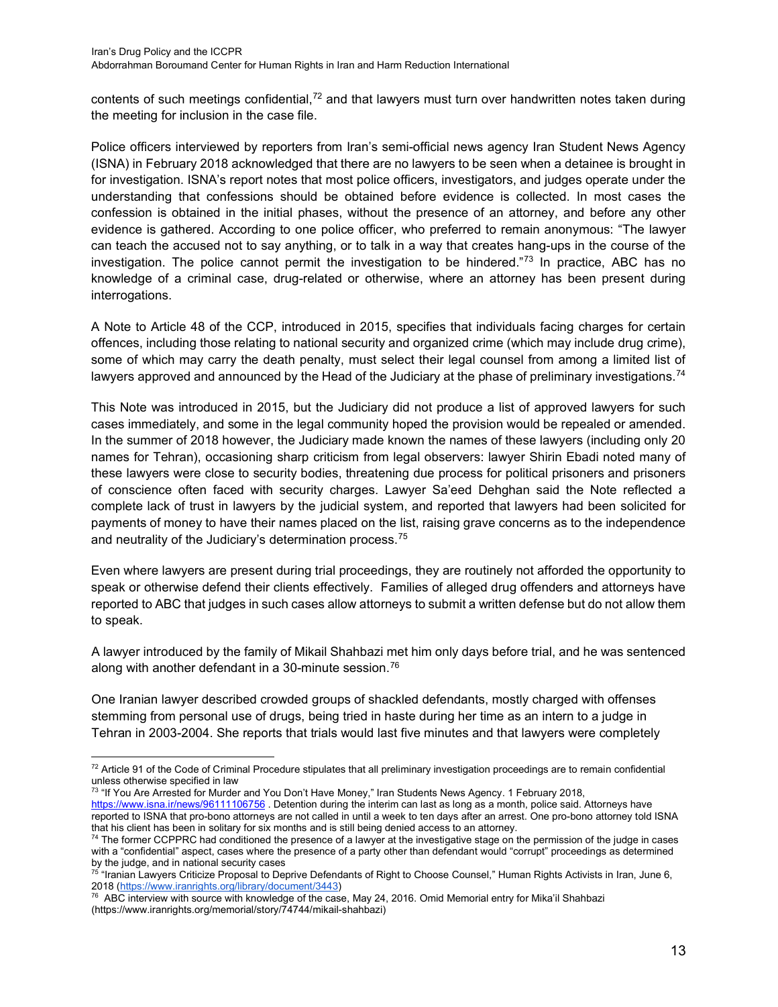contents of such meetings confidential,<sup>[72](#page-12-0)</sup> and that lawyers must turn over handwritten notes taken during the meeting for inclusion in the case file.

Police officers interviewed by reporters from Iran's semi-official news agency Iran Student News Agency (ISNA) in February 2018 acknowledged that there are no lawyers to be seen when a detainee is brought in for investigation. ISNA's report notes that most police officers, investigators, and judges operate under the understanding that confessions should be obtained before evidence is collected. In most cases the confession is obtained in the initial phases, without the presence of an attorney, and before any other evidence is gathered. According to one police officer, who preferred to remain anonymous: "The lawyer can teach the accused not to say anything, or to talk in a way that creates hang-ups in the course of the investigation. The police cannot permit the investigation to be hindered."[73](#page-12-1) In practice, ABC has no knowledge of a criminal case, drug-related or otherwise, where an attorney has been present during interrogations.

A Note to Article 48 of the CCP, introduced in 2015, specifies that individuals facing charges for certain offences, including those relating to national security and organized crime (which may include drug crime), some of which may carry the death penalty, must select their legal counsel from among a limited list of lawyers approved and announced by the Head of the Judiciary at the phase of preliminary investigations.<sup>[74](#page-12-2)</sup>

This Note was introduced in 2015, but the Judiciary did not produce a list of approved lawyers for such cases immediately, and some in the legal community hoped the provision would be repealed or amended. In the summer of 2018 however, the Judiciary made known the names of these lawyers (including only 20 names for Tehran), occasioning sharp criticism from legal observers: lawyer Shirin Ebadi noted many of these lawyers were close to security bodies, threatening due process for political prisoners and prisoners of conscience often faced with security charges. Lawyer Sa'eed Dehghan said the Note reflected a complete lack of trust in lawyers by the judicial system, and reported that lawyers had been solicited for payments of money to have their names placed on the list, raising grave concerns as to the independence and neutrality of the Judiciary's determination process.<sup>[75](#page-12-3)</sup>

Even where lawyers are present during trial proceedings, they are routinely not afforded the opportunity to speak or otherwise defend their clients effectively. Families of alleged drug offenders and attorneys have reported to ABC that judges in such cases allow attorneys to submit a written defense but do not allow them to speak.

A lawyer introduced by the family of Mikail Shahbazi met him only days before trial, and he was sentenced along with another defendant in a 30-minute session.[76](#page-12-4)

One Iranian lawyer described crowded groups of shackled defendants, mostly charged with offenses stemming from personal use of drugs, being tried in haste during her time as an intern to a judge in Tehran in 2003-2004. She reports that trials would last five minutes and that lawyers were completely

<sup>73 "</sup>If You Are Arrested for Murder and You Don't Have Money," Iran Students News Agency. 1 February 2018,

<span id="page-12-0"></span> $72$  Article 91 of the Code of Criminal Procedure stipulates that all preliminary investigation proceedings are to remain confidential unless otherwise specified in law

<span id="page-12-1"></span>https://www.isna.ir/news/96111106756 . Detention during the interim can last as long as a month, police said. Attorneys have reported to ISNA that pro-bono attorneys are not called in until a week to ten days after an arrest. One pro-bono attorney told ISNA that his client has been in solitary for six months and is still being denied access to a

<span id="page-12-2"></span><sup>74</sup> The former CCPPRC had conditioned the presence of a lawyer at the investigative stage on the permission of the judge in cases with a "confidential" aspect, cases where the presence of a party other than defendant would "corrupt" proceedings as determined by the judge, and in national security cases

<span id="page-12-3"></span><sup>75</sup> "Iranian Lawyers Criticize Proposal to Deprive Defendants of Right to Choose Counsel," Human Rights Activists in Iran, June 6, 2018 [\(https://www.iranrights.org/library/document/3443\)](https://www.iranrights.org/library/document/3443)

<span id="page-12-4"></span><sup>&</sup>lt;sup>76</sup> ABC interview with source with knowledge of the case, May 24, 2016. Omid Memorial entry for Mika'il Shahbazi [\(https://www.iranrights.org/memorial/story/74744/mikail-shahbazi\)](https://www.iranrights.org/memorial/story/74744/mikail-shahbazi)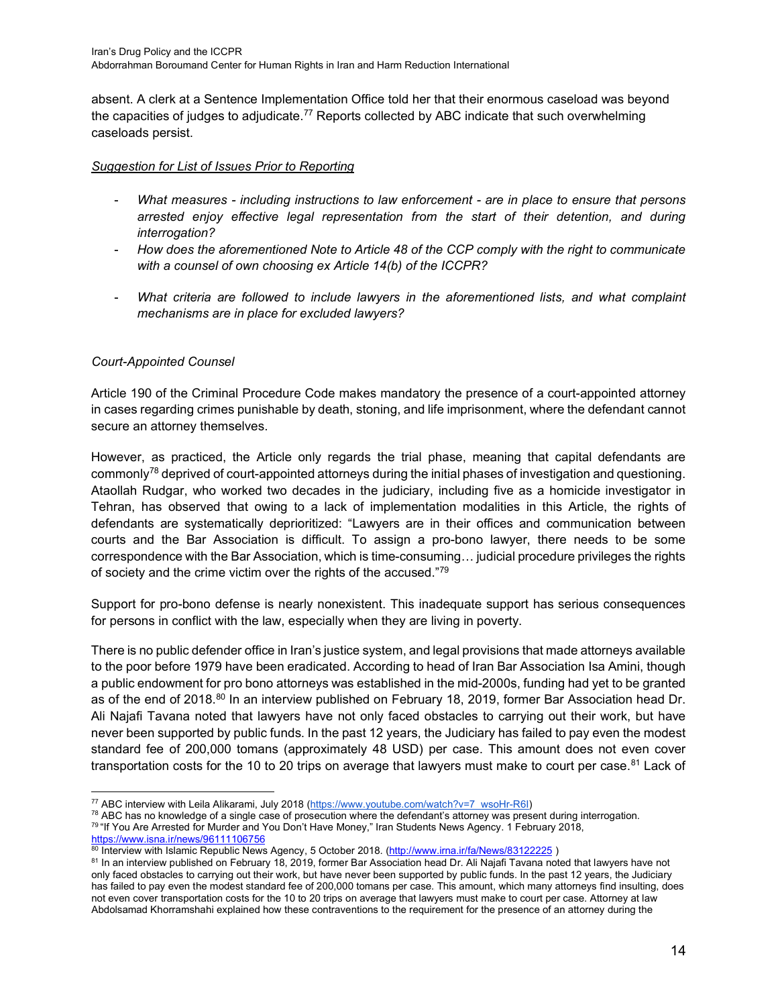absent. A clerk at a Sentence Implementation Office told her that their enormous caseload was beyond the capacities of judges to adjudicate.<sup>[77](#page-13-0)</sup> Reports collected by ABC indicate that such overwhelming caseloads persist.

#### *Suggestion for List of Issues Prior to Reporting*

- *What measures - including instructions to law enforcement - are in place to ensure that persons arrested enjoy effective legal representation from the start of their detention, and during interrogation?*
- *How does the aforementioned Note to Article 48 of the CCP comply with the right to communicate with a counsel of own choosing ex Article 14(b) of the ICCPR?*
- *What criteria are followed to include lawyers in the aforementioned lists, and what complaint mechanisms are in place for excluded lawyers?*

## *Court-Appointed Counsel*

Article 190 of the Criminal Procedure Code makes mandatory the presence of a court-appointed attorney in cases regarding crimes punishable by death, stoning, and life imprisonment, where the defendant cannot secure an attorney themselves.

However, as practiced, the Article only regards the trial phase, meaning that capital defendants are commonly<sup>[78](#page-13-1)</sup> deprived of court-appointed attorneys during the initial phases of investigation and questioning. Ataollah Rudgar, who worked two decades in the judiciary, including five as a homicide investigator in Tehran, has observed that owing to a lack of implementation modalities in this Article, the rights of defendants are systematically deprioritized: "Lawyers are in their offices and communication between courts and the Bar Association is difficult. To assign a pro-bono lawyer, there needs to be some correspondence with the Bar Association, which is time-consuming… judicial procedure privileges the rights of society and the crime victim over the rights of the accused."[79](#page-13-2)

Support for pro-bono defense is nearly nonexistent. This inadequate support has serious consequences for persons in conflict with the law, especially when they are living in poverty.

There is no public defender office in Iran's justice system, and legal provisions that made attorneys available to the poor before 1979 have been eradicated. According to head of Iran Bar Association Isa Amini, though a public endowment for pro bono attorneys was established in the mid-2000s, funding had yet to be granted as of the end of 2018.<sup>[80](#page-13-3)</sup> In an interview published on February 18, 2019, former Bar Association head Dr. Ali Najafi Tavana noted that lawyers have not only faced obstacles to carrying out their work, but have never been supported by public funds. In the past 12 years, the Judiciary has failed to pay even the modest standard fee of 200,000 tomans (approximately 48 USD) per case. This amount does not even cover transportation costs for the 10 to 20 trips on average that lawyers must make to court per case.<sup>[81](#page-13-4)</sup> Lack of

<span id="page-13-2"></span>https://www.isna.ir/news/96111106756

<span id="page-13-3"></span>80 Interview with Islamic Republic News Agency, 5 October 2018. (http://www.irna.ir/fa/News/83122225)

<span id="page-13-0"></span><sup>&</sup>lt;sup>77</sup> ABC interview with Leila Alikarami, July 2018 [\(https://www.youtube.com/watch?v=7\\_wsoHr-R6I\)](https://www.youtube.com/watch?v=7_wsoHr-R6I)

<span id="page-13-1"></span><sup>78</sup> ABC has no knowledge of a single case of prosecution where the defendant's attorney was present during interrogation.<br>79 "If You Are Arrested for Murder and You Don't Have Money," Iran Students News Agency. 1 February 2

<span id="page-13-4"></span><sup>81</sup> In an interview published on February 18, 2019, former Bar Association head Dr. Ali Najafi Tavana noted that lawyers have not only faced obstacles to carrying out their work, but have never been supported by public funds. In the past 12 years, the Judiciary has failed to pay even the modest standard fee of 200,000 tomans per case. This amount, which many attorneys find insulting, does not even cover transportation costs for the 10 to 20 trips on average that lawyers must make to court per case. Attorney at law Abdolsamad Khorramshahi explained how these contraventions to the requirement for the presence of an attorney during the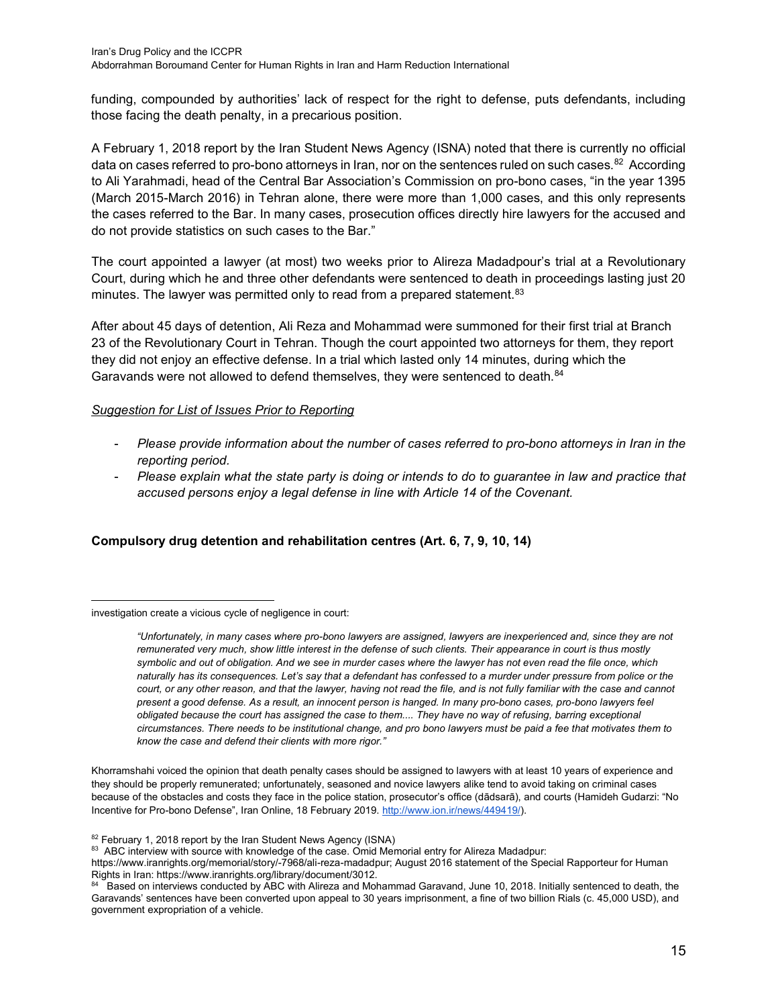funding, compounded by authorities' lack of respect for the right to defense, puts defendants, including those facing the death penalty, in a precarious position.

A February 1, 2018 report by the Iran Student News Agency (ISNA) noted that there is currently no official data on cases referred to pro-bono attorneys in Iran, nor on the sentences ruled on such cases.<sup>82</sup> According to Ali Yarahmadi, head of the Central Bar Association's Commission on pro-bono cases, "in the year 1395 (March 2015-March 2016) in Tehran alone, there were more than 1,000 cases, and this only represents the cases referred to the Bar. In many cases, prosecution offices directly hire lawyers for the accused and do not provide statistics on such cases to the Bar."

The court appointed a lawyer (at most) two weeks prior to Alireza Madadpour's trial at a Revolutionary Court, during which he and three other defendants were sentenced to death in proceedings lasting just 20 minutes. The lawyer was permitted only to read from a prepared statement.<sup>[83](#page-14-1)</sup>

After about 45 days of detention, Ali Reza and Mohammad were summoned for their first trial at Branch 23 of the Revolutionary Court in Tehran. Though the court appointed two attorneys for them, they report they did not enjoy an effective defense. In a trial which lasted only 14 minutes, during which the Garavands were not allowed to defend themselves, they were sentenced to death.<sup>[84](#page-14-2)</sup>

## *Suggestion for List of Issues Prior to Reporting*

- *Please provide information about the number of cases referred to pro-bono attorneys in Iran in the reporting period.*
- *Please explain what the state party is doing or intends to do to guarantee in law and practice that accused persons enjoy a legal defense in line with Article 14 of the Covenant.*

## **Compulsory drug detention and rehabilitation centres (Art. 6, 7, 9, 10, 14)**

investigation create a vicious cycle of negligence in court:

Khorramshahi voiced the opinion that death penalty cases should be assigned to lawyers with at least 10 years of experience and they should be properly remunerated; unfortunately, seasoned and novice lawyers alike tend to avoid taking on criminal cases because of the obstacles and costs they face in the police station, prosecutor's office (dādsarā), and courts (Hamideh Gudarzi: "No Incentive for Pro-bono Defense", Iran Online, 18 February 2019. [http://www.ion.ir/news/449419/\)](http://www.ion.ir/news/449419/).

<span id="page-14-0"></span><sup>82</sup> February 1, 2018 report by the Iran Student News Agency (ISNA)

*<sup>&</sup>quot;Unfortunately, in many cases where pro-bono lawyers are assigned, lawyers are inexperienced and, since they are not remunerated very much, show little interest in the defense of such clients. Their appearance in court is thus mostly symbolic and out of obligation. And we see in murder cases where the lawyer has not even read the file once, which naturally has its consequences. Let's say that a defendant has confessed to a murder under pressure from police or the court, or any other reason, and that the lawyer, having not read the file, and is not fully familiar with the case and cannot present a good defense. As a result, an innocent person is hanged. In many pro-bono cases, pro-bono lawyers feel obligated because the court has assigned the case to them.... They have no way of refusing, barring exceptional circumstances. There needs to be institutional change, and pro bono lawyers must be paid a fee that motivates them to know the case and defend their clients with more rigor."* 

<span id="page-14-1"></span><sup>83</sup> ABC interview with source with knowledge of the case. Omid Memorial entry for Alireza Madadpur:

[https://www.iranrights.org/memorial/story/-7968/ali-reza-madadpur;](https://www.iranrights.org/memorial/story/-7968/ali-reza-madadpur) August 2016 statement of the Special Rapporteur for Human Rights in Iran[: https://www.iranrights.org/library/document/3012.](https://www.iranrights.org/library/document/3012)

<span id="page-14-2"></span>Based on interviews conducted by ABC with Alireza and Mohammad Garavand, June 10, 2018. Initially sentenced to death, the Garavands' sentences have been converted upon appeal to 30 years imprisonment, a fine of two billion Rials (c. 45,000 USD), and government expropriation of a vehicle.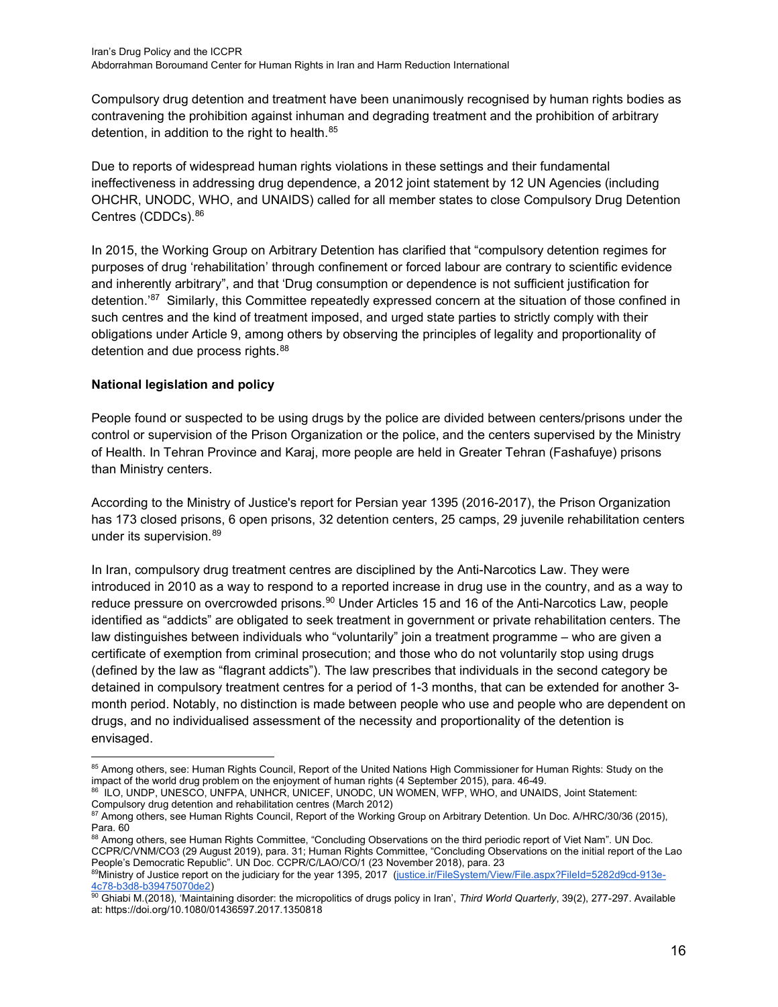Compulsory drug detention and treatment have been unanimously recognised by human rights bodies as contravening the prohibition against inhuman and degrading treatment and the prohibition of arbitrary detention, in addition to the right to health.<sup>[85](#page-15-0)</sup>

Due to reports of widespread human rights violations in these settings and their fundamental ineffectiveness in addressing drug dependence, a 2012 joint statement by 12 UN Agencies (including OHCHR, UNODC, WHO, and UNAIDS) called for all member states to close Compulsory Drug Detention Centres (CDDCs). [86](#page-15-1)

In 2015, the Working Group on Arbitrary Detention has clarified that "compulsory detention regimes for purposes of drug 'rehabilitation' through confinement or forced labour are contrary to scientific evidence and inherently arbitrary", and that 'Drug consumption or dependence is not sufficient justification for detention.'[87](#page-15-2) Similarly, this Committee repeatedly expressed concern at the situation of those confined in such centres and the kind of treatment imposed, and urged state parties to strictly comply with their obligations under Article 9, among others by observing the principles of legality and proportionality of detention and due process rights.<sup>[88](#page-15-3)</sup>

## **National legislation and policy**

People found or suspected to be using drugs by the police are divided between centers/prisons under the control or supervision of the Prison Organization or the police, and the centers supervised by the Ministry of Health. In Tehran Province and Karaj, more people are held in Greater Tehran (Fashafuye) prisons than Ministry centers.

According to the Ministry of Justice's report for Persian year 1395 (2016-2017), the Prison Organization has 173 closed prisons, 6 open prisons, 32 detention centers, 25 camps, 29 juvenile rehabilitation centers under its supervision.[89](#page-15-4)

In Iran, compulsory drug treatment centres are disciplined by the Anti-Narcotics Law. They were introduced in 2010 as a way to respond to a reported increase in drug use in the country, and as a way to reduce pressure on overcrowded prisons.<sup>[90](#page-15-5)</sup> Under Articles 15 and 16 of the Anti-Narcotics Law, people identified as "addicts" are obligated to seek treatment in government or private rehabilitation centers. The law distinguishes between individuals who "voluntarily" join a treatment programme – who are given a certificate of exemption from criminal prosecution; and those who do not voluntarily stop using drugs (defined by the law as "flagrant addicts"). The law prescribes that individuals in the second category be detained in compulsory treatment centres for a period of 1-3 months, that can be extended for another 3 month period. Notably, no distinction is made between people who use and people who are dependent on drugs, and no individualised assessment of the necessity and proportionality of the detention is envisaged.

<span id="page-15-1"></span>86 ILO, UNDP, UNESCO, UNFPA, UNHCR, UNICEF, UNODC, UN WOMEN, WFP, WHO, and UNAIDS, Joint Statement: Compulsory drug detention and rehabilitation centres (March 2012)

<span id="page-15-0"></span><sup>85</sup> Among others, see: Human Rights Council, Report of the United Nations High Commissioner for Human Rights: Study on the impact of the world drug problem on the enjoyment of human rights (4 September 2015), para. 46-49.

<span id="page-15-2"></span><sup>87</sup> Among others, see Human Rights Council, Report of the Working Group on Arbitrary Detention. Un Doc. A/HRC/30/36 (2015), Para. 60

<span id="page-15-3"></span><sup>88</sup> Among others, see Human Rights Committee, "Concluding Observations on the third periodic report of Viet Nam". UN Doc. CCPR/C/VNM/CO3 (29 August 2019), para. 31; Human Rights Committee, "Concluding Observations on the initial report of the Lao People's Democratic Republic". UN Doc. CCPR/C/LAO/CO/1 (23 November 2018), para. 23

<span id="page-15-4"></span><sup>8</sup>[9Ministry of Justice report on the judiciary for the year 1395, 2017 \(justice.ir/FileSystem/View/File.aspx?FileId=5282d9cd-913e-](https://www.justice.ir/FileSystem/View/File.aspx?FileId=5282d9cd-913e-4c78-b3d8-b39475070de2)[4c78-b3d8-b39475070de2\)](https://www.justice.ir/FileSystem/View/File.aspx?FileId=5282d9cd-913e-4c78-b3d8-b39475070de2)

<span id="page-15-5"></span><sup>90</sup> Ghiabi M.(2018), 'Maintaining disorder: the micropolitics of drugs policy in Iran', Third World Quarterly, 39(2), 277-297. Available at: https://doi.org/10.1080/01436597.2017.1350818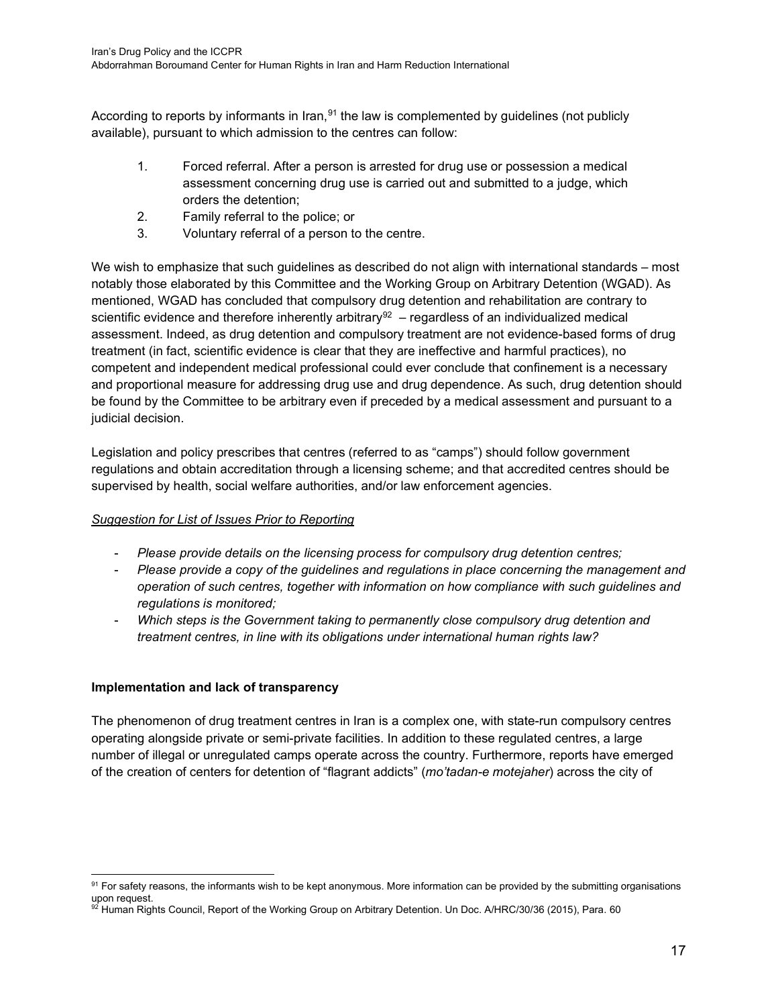According to reports by informants in Iran,  $91$  the law is complemented by guidelines (not publicly available), pursuant to which admission to the centres can follow:

- 1. Forced referral. After a person is arrested for drug use or possession a medical assessment concerning drug use is carried out and submitted to a judge, which orders the detention;
- 2. Family referral to the police; or
- 3. Voluntary referral of a person to the centre.

We wish to emphasize that such guidelines as described do not align with international standards – most notably those elaborated by this Committee and the Working Group on Arbitrary Detention (WGAD). As mentioned, WGAD has concluded that compulsory drug detention and rehabilitation are contrary to scientific evidence and therefore inherently arbitrary<sup>92</sup> – regardless of an individualized medical assessment. Indeed, as drug detention and compulsory treatment are not evidence-based forms of drug treatment (in fact, scientific evidence is clear that they are ineffective and harmful practices), no competent and independent medical professional could ever conclude that confinement is a necessary and proportional measure for addressing drug use and drug dependence. As such, drug detention should be found by the Committee to be arbitrary even if preceded by a medical assessment and pursuant to a judicial decision.

Legislation and policy prescribes that centres (referred to as "camps") should follow government regulations and obtain accreditation through a licensing scheme; and that accredited centres should be supervised by health, social welfare authorities, and/or law enforcement agencies.

## *Suggestion for List of Issues Prior to Reporting*

- *Please provide details on the licensing process for compulsory drug detention centres;*
- *Please provide a copy of the guidelines and regulations in place concerning the management and operation of such centres, together with information on how compliance with such guidelines and regulations is monitored;*
- *Which steps is the Government taking to permanently close compulsory drug detention and treatment centres, in line with its obligations under international human rights law?*

## **Implementation and lack of transparency**

The phenomenon of drug treatment centres in Iran is a complex one, with state-run compulsory centres operating alongside private or semi-private facilities. In addition to these regulated centres, a large number of illegal or unregulated camps operate across the country. Furthermore, reports have emerged of the creation of centers for detention of "flagrant addicts" (*mo'tadan-e motejaher*) across the city of

<span id="page-16-0"></span> $91$  For safety reasons, the informants wish to be kept anonymous. More information can be provided by the submitting organisations upon request.

<span id="page-16-1"></span> $^{92}$  Human Rights Council, Report of the Working Group on Arbitrary Detention. Un Doc. A/HRC/30/36 (2015), Para. 60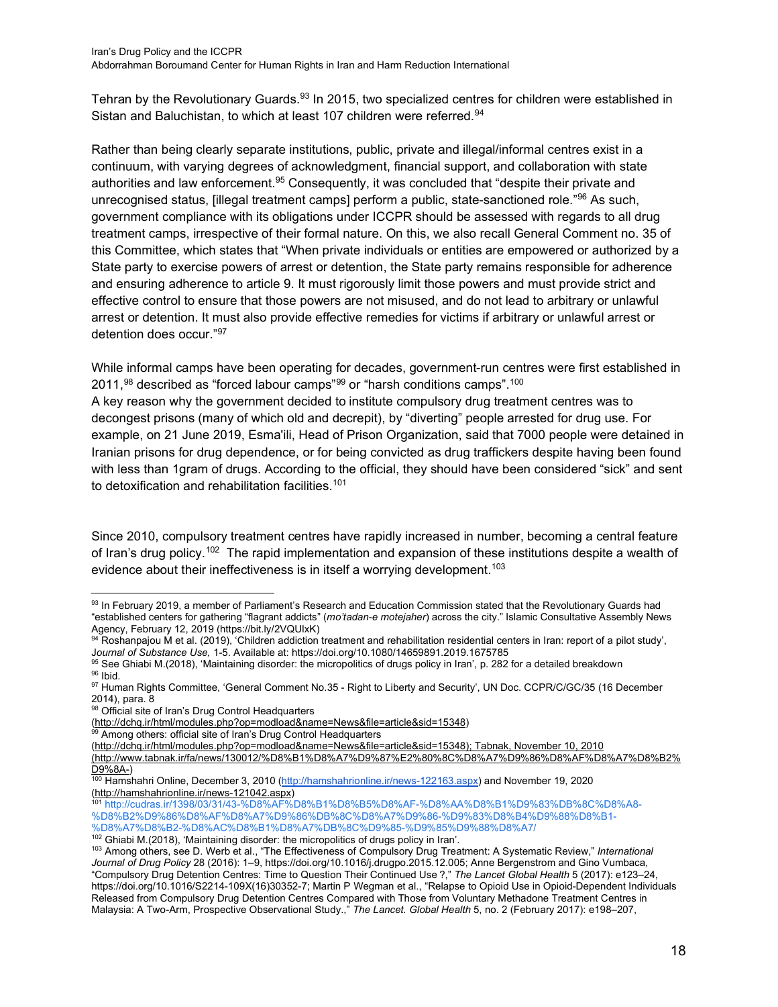Tehran by the Revolutionary Guards.<sup>[93](#page-17-0)</sup> In 2015, two specialized centres for children were established in Sistan and Baluchistan, to which at least 107 children were referred.<sup>[94](#page-17-1)</sup>

Rather than being clearly separate institutions, public, private and illegal/informal centres exist in a continuum, with varying degrees of acknowledgment, financial support, and collaboration with state authorities and law enforcement.<sup>[95](#page-17-2)</sup> Consequently, it was concluded that "despite their private and unrecognised status, [illegal treatment camps] perform a public, state-sanctioned role."<sup>[96](#page-17-3)</sup> As such, government compliance with its obligations under ICCPR should be assessed with regards to all drug treatment camps, irrespective of their formal nature. On this, we also recall General Comment no. 35 of this Committee, which states that "When private individuals or entities are empowered or authorized by a State party to exercise powers of arrest or detention, the State party remains responsible for adherence and ensuring adherence to article 9. It must rigorously limit those powers and must provide strict and effective control to ensure that those powers are not misused, and do not lead to arbitrary or unlawful arrest or detention. It must also provide effective remedies for victims if arbitrary or unlawful arrest or detention does occur."[97](#page-17-4)

While informal camps have been operating for decades, government-run centres were first established in  $2011$ ,<sup>[98](#page-17-5)</sup> described as "forced labour camps"<sup>[99](#page-17-6)</sup> or "harsh conditions camps".<sup>[100](#page-17-7)</sup>

A key reason why the government decided to institute compulsory drug treatment centres was to decongest prisons (many of which old and decrepit), by "diverting" people arrested for drug use. For example, on 21 June 2019, Esma'ili, Head of Prison Organization, said that 7000 people were detained in Iranian prisons for drug dependence, or for being convicted as drug traffickers despite having been found with less than 1gram of drugs. According to the official, they should have been considered "sick" and sent to detoxification and rehabilitation facilities.<sup>[101](#page-17-8)</sup>

Since 2010, compulsory treatment centres have rapidly increased in number, becoming a central feature of Iran's drug policy.<sup>102</sup> The rapid implementation and expansion of these institutions despite a wealth of evidence about their ineffectiveness is in itself a worrying development.<sup>[103](#page-17-10)</sup>

<span id="page-17-0"></span><sup>93</sup> In February 2019, a member of Parliament's Research and Education Commission stated that the Revolutionary Guards had "established centers for gathering "flagrant addicts" (*mo'tadan-e motejaher*) across the city." Islamic Consultative Assembly News Agency, February 12, 2019 (https://bit.ly/2VQUlxK)

<span id="page-17-1"></span><sup>94</sup> Roshanpajou M et al. (2019), 'Children addiction treatment and rehabilitation residential centers in Iran: report of a pilot study', J*ournal of Substance Use,* 1-5. Available at: https://doi.org/10.1080/14659891.2019.1675785

<span id="page-17-2"></span> $^{95}$  See Ghiabi M.(2018), 'Maintaining disorder: the micropolitics of drugs policy in Iran', p. 282 for a detailed breakdown <sup>96</sup> Ibid.

<span id="page-17-4"></span><span id="page-17-3"></span><sup>97</sup> Human Rights Committee, 'General Comment No.35 - Right to Liberty and Security', UN Doc. CCPR/C/GC/35 (16 December 2014), para. 8

<span id="page-17-5"></span><sup>98</sup> Official site of Iran's Drug Control Headquarters

[<sup>\(</sup>http://dchq.ir/html/modules.php?op=modload&name=News&file=article&sid=15348\)](http://dchq.ir/html/modules.php?op=modload&name=News&file=article&sid=15348)

<span id="page-17-6"></span> $99$  Among others: official site of Iran's Drug Control Headquarters

[<sup>\(</sup>http://dchq.ir/html/modules.php?op=modload&name=News&file=article&sid=15348\)](http://dchq.ir/html/modules.php?op=modload&name=News&file=article&sid=15348); Tabnak, November 10, 2010 [\(http://www.tabnak.ir/fa/news/130012/%D8%B1%D8%A7%D9%87%E2%80%8C%D8%A7%D9%86%D8%AF%D8%A7%D8%B2%](http://www.tabnak.ir/fa/news/130012/%D8%B1%D8%A7%D9%87%E2%80%8C%D8%A7%D9%86%D8%AF%D8%A7%D8%B2%D9%8A-) [D9%8A-\)](http://www.tabnak.ir/fa/news/130012/%D8%B1%D8%A7%D9%87%E2%80%8C%D8%A7%D9%86%D8%AF%D8%A7%D8%B2%D9%8A-)

<span id="page-17-7"></span><sup>100</sup> Hamshahri Online, December 3, 2010 [\(http://hamshahrionline.ir/news-122163.aspx\)](http://hamshahrionline.ir/news-122163.aspx) and November 19, 2020 [\(http://hamshahrionline.ir/news-121042.aspx\)](http://hamshahrionline.ir/news-121042.aspx)

<span id="page-17-8"></span><sup>101</sup> [http://cudras.ir/1398/03/31/43-%D8%AF%D8%B1%D8%B5%D8%AF-%D8%AA%D8%B1%D9%83%DB%8C%D8%A8-](http://cudras.ir/1398/03/31/43-%D8%AF%D8%B1%D8%B5%D8%AF-%D8%AA%D8%B1%D9%83%DB%8C%D8%A8-%D8%B2%D9%86%D8%AF%D8%A7%D9%86%DB%8C%D8%A7%D9%86-%D9%83%D8%B4%D9%88%D8%B1-%D8%A7%D8%B2-%D8%AC%D8%B1%D8%A7%DB%8C%D9%85-%D9%85%D9%88%D8%A7/) [%D8%B2%D9%86%D8%AF%D8%A7%D9%86%DB%8C%D8%A7%D9%86-%D9%83%D8%B4%D9%88%D8%B1-](http://cudras.ir/1398/03/31/43-%D8%AF%D8%B1%D8%B5%D8%AF-%D8%AA%D8%B1%D9%83%DB%8C%D8%A8-%D8%B2%D9%86%D8%AF%D8%A7%D9%86%DB%8C%D8%A7%D9%86-%D9%83%D8%B4%D9%88%D8%B1-%D8%A7%D8%B2-%D8%AC%D8%B1%D8%A7%DB%8C%D9%85-%D9%85%D9%88%D8%A7/) [%D8%A7%D8%B2-%D8%AC%D8%B1%D8%A7%DB%8C%D9%85-%D9%85%D9%88%D8%A7/](http://cudras.ir/1398/03/31/43-%D8%AF%D8%B1%D8%B5%D8%AF-%D8%AA%D8%B1%D9%83%DB%8C%D8%A8-%D8%B2%D9%86%D8%AF%D8%A7%D9%86%DB%8C%D8%A7%D9%86-%D9%83%D8%B4%D9%88%D8%B1-%D8%A7%D8%B2-%D8%AC%D8%B1%D8%A7%DB%8C%D9%85-%D9%85%D9%88%D8%A7/)

<sup>&</sup>lt;sup>102</sup> Ghiabi M.(2018), 'Maintaining disorder: the micropolitics of drugs policy in Iran'.

<span id="page-17-10"></span><span id="page-17-9"></span><sup>103</sup> Among others, see D. Werb et al., "The Effectiveness of Compulsory Drug Treatment: A Systematic Review," *International Journal of Drug Policy* 28 (2016): 1–9, https://doi.org/10.1016/j.drugpo.2015.12.005; Anne Bergenstrom and Gino Vumbaca, "Compulsory Drug Detention Centres: Time to Question Their Continued Use ?," *The Lancet Global Health* 5 (2017): e123–24, https://doi.org/10.1016/S2214-109X(16)30352-7; Martin P Wegman et al., "Relapse to Opioid Use in Opioid-Dependent Individuals Released from Compulsory Drug Detention Centres Compared with Those from Voluntary Methadone Treatment Centres in Malaysia: A Two-Arm, Prospective Observational Study.," *The Lancet. Global Health* 5, no. 2 (February 2017): e198–207,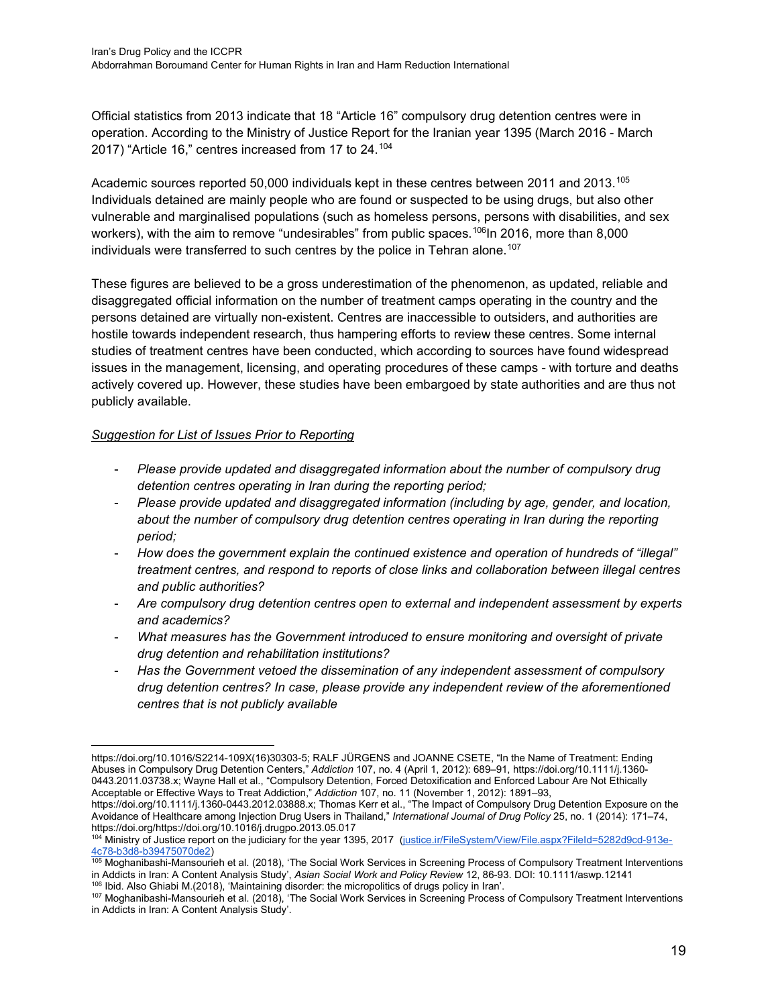Official statistics from 2013 indicate that 18 "Article 16" compulsory drug detention centres were in operation. According to the Ministry of Justice Report for the Iranian year 1395 (March 2016 - March 2017) "Article 16," centres increased from 17 to 24.[104](#page-18-0)

Academic sources reported 50,000 individuals kept in these centres between 2011 and 2013.<sup>[105](#page-18-1)</sup> Individuals detained are mainly people who are found or suspected to be using drugs, but also other vulnerable and marginalised populations (such as homeless persons, persons with disabilities, and sex workers), with the aim to remove "undesirables" from public spaces.<sup>106</sup>In 2016, more than 8,000 individuals were transferred to such centres by the police in Tehran alone.<sup>[107](#page-18-3)</sup>

These figures are believed to be a gross underestimation of the phenomenon, as updated, reliable and disaggregated official information on the number of treatment camps operating in the country and the persons detained are virtually non-existent. Centres are inaccessible to outsiders, and authorities are hostile towards independent research, thus hampering efforts to review these centres. Some internal studies of treatment centres have been conducted, which according to sources have found widespread issues in the management, licensing, and operating procedures of these camps - with torture and deaths actively covered up. However, these studies have been embargoed by state authorities and are thus not publicly available.

## *Suggestion for List of Issues Prior to Reporting*

- *Please provide updated and disaggregated information about the number of compulsory drug detention centres operating in Iran during the reporting period;*
- *Please provide updated and disaggregated information (including by age, gender, and location,*  about the number of compulsory drug detention centres operating in Iran during the reporting *period;*
- *How does the government explain the continued existence and operation of hundreds of "illegal" treatment centres, and respond to reports of close links and collaboration between illegal centres and public authorities?*
- *Are compulsory drug detention centres open to external and independent assessment by experts and academics?*
- *What measures has the Government introduced to ensure monitoring and oversight of private drug detention and rehabilitation institutions?*
- *Has the Government vetoed the dissemination of any independent assessment of compulsory drug detention centres? In case, please provide any independent review of the aforementioned centres that is not publicly available*

https://doi.org/10.1111/j.1360-0443.2012.03888.x; Thomas Kerr et al., "The Impact of Compulsory Drug Detention Exposure on the Avoidance of Healthcare among Injection Drug Users in Thailand," *International Journal of Drug Policy* 25, no. 1 (2014): 171–74, https://doi.org/https://doi.org/10.1016/j.drugpo.2013.05.017

https://doi.org/10.1016/S2214-109X(16)30303-5; RALF JÜRGENS and JOANNE CSETE, "In the Name of Treatment: Ending Abuses in Compulsory Drug Detention Centers," *Addiction* 107, no. 4 (April 1, 2012): 689–91, https://doi.org/10.1111/j.1360- 0443.2011.03738.x; Wayne Hall et al., "Compulsory Detention, Forced Detoxification and Enforced Labour Are Not Ethically Acceptable or Effective Ways to Treat Addiction," *Addiction* 107, no. 11 (November 1, 2012): 1891–93,

<span id="page-18-0"></span><sup>104</sup> [Ministry of Justice report on the judiciary for the year 1395, 2017 \(justice.ir/FileSystem/View/File.aspx?FileId=5282d9cd-913e-](https://www.justice.ir/FileSystem/View/File.aspx?FileId=5282d9cd-913e-4c78-b3d8-b39475070de2)[4c78-b3d8-b39475070de2\)](https://www.justice.ir/FileSystem/View/File.aspx?FileId=5282d9cd-913e-4c78-b3d8-b39475070de2)

<span id="page-18-1"></span><sup>105</sup> Moghanibashi-Mansourieh et al. (2018), 'The Social Work Services in Screening Process of Compulsory Treatment Interventions in Addicts in Iran: A Content Analysis Study', *Asian Social Work and Policy Review* 12, 86-93. DOI: 10.1111/aswp.12141 <sup>106</sup> Ibid. Also Ghiabi M.(2018), 'Maintaining disorder: the micropolitics of drugs policy in Iran'.

<span id="page-18-3"></span><span id="page-18-2"></span><sup>107</sup> Moghanibashi-Mansourieh et al. (2018), 'The Social Work Services in Screening Process of Compulsory Treatment Interventions in Addicts in Iran: A Content Analysis Study'.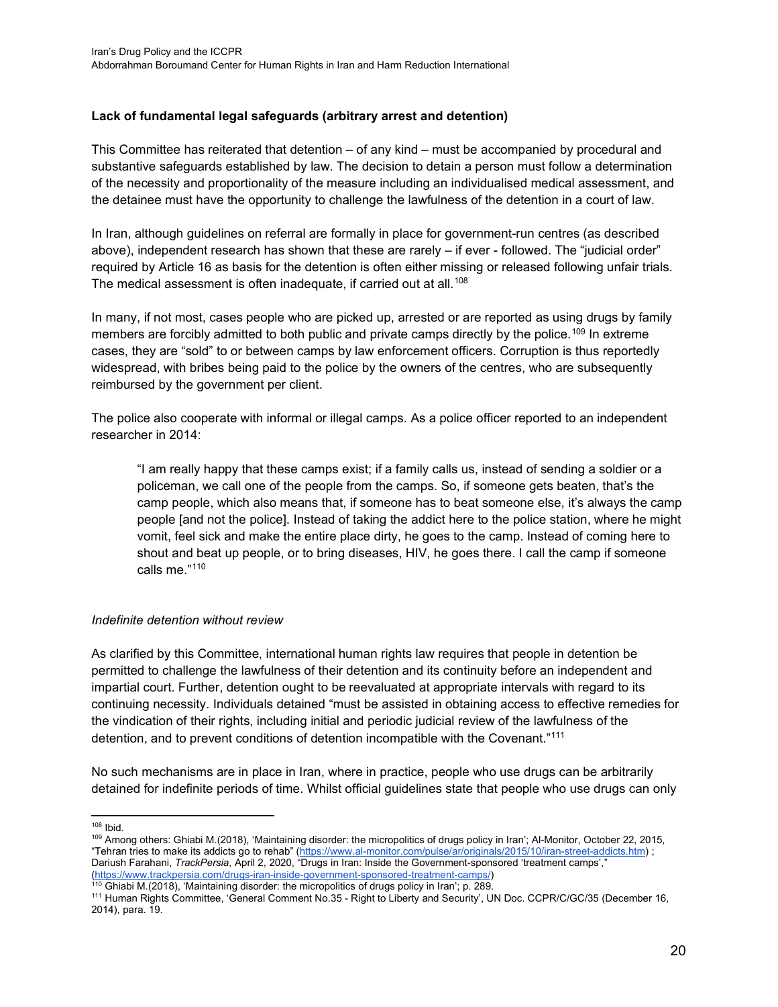## **Lack of fundamental legal safeguards (arbitrary arrest and detention)**

This Committee has reiterated that detention – of any kind – must be accompanied by procedural and substantive safeguards established by law. The decision to detain a person must follow a determination of the necessity and proportionality of the measure including an individualised medical assessment, and the detainee must have the opportunity to challenge the lawfulness of the detention in a court of law.

In Iran, although guidelines on referral are formally in place for government-run centres (as described above), independent research has shown that these are rarely – if ever - followed. The "judicial order" required by Article 16 as basis for the detention is often either missing or released following unfair trials. The medical assessment is often inadequate, if carried out at all.<sup>[108](#page-19-0)</sup>

In many, if not most, cases people who are picked up, arrested or are reported as using drugs by family members are forcibly admitted to both public and private camps directly by the police.<sup>[109](#page-19-1)</sup> In extreme cases, they are "sold" to or between camps by law enforcement officers. Corruption is thus reportedly widespread, with bribes being paid to the police by the owners of the centres, who are subsequently reimbursed by the government per client.

The police also cooperate with informal or illegal camps. As a police officer reported to an independent researcher in 2014:

"I am really happy that these camps exist; if a family calls us, instead of sending a soldier or a policeman, we call one of the people from the camps. So, if someone gets beaten, that's the camp people, which also means that, if someone has to beat someone else, it's always the camp people [and not the police]. Instead of taking the addict here to the police station, where he might vomit, feel sick and make the entire place dirty, he goes to the camp. Instead of coming here to shout and beat up people, or to bring diseases, HIV, he goes there. I call the camp if someone calls me."[110](#page-19-2)

#### *Indefinite detention without review*

As clarified by this Committee, international human rights law requires that people in detention be permitted to challenge the lawfulness of their detention and its continuity before an independent and impartial court. Further, detention ought to be reevaluated at appropriate intervals with regard to its continuing necessity. Individuals detained "must be assisted in obtaining access to effective remedies for the vindication of their rights, including initial and periodic judicial review of the lawfulness of the detention, and to prevent conditions of detention incompatible with the Covenant."[111](#page-19-3)

No such mechanisms are in place in Iran, where in practice, people who use drugs can be arbitrarily detained for indefinite periods of time. Whilst official guidelines state that people who use drugs can only

<span id="page-19-0"></span><sup>108</sup> Ibid.

<span id="page-19-1"></span><sup>109</sup> Among others: Ghiabi M.(2018), 'Maintaining disorder: the micropolitics of drugs policy in Iran'; Al-Monitor, October 22, 2015, "Tehran tries to make its addicts go to rehab" [\(https://www.al-monitor.com/pulse/ar/originals/2015/10/iran-street-addicts.htm\)](https://www.al-monitor.com/pulse/ar/originals/2015/10/iran-street-addicts.html) ; Dariush Farahani, *TrackPersia,* April 2, 2020, "Drugs in Iran: Inside the Government-sponsored 'treatment camps'," [\(https://www.trackpersia.com/drugs-iran-inside-government-sponsored-treatment-camps/\)](https://www.trackpersia.com/drugs-iran-inside-government-sponsored-treatment-camps/)

 $110$  Ghiabi M.(2018), 'Maintaining disorder: the micropolitics of drugs policy in Iran'; p. 289.

<span id="page-19-3"></span><span id="page-19-2"></span><sup>111</sup> Human Rights Committee, 'General Comment No.35 - Right to Liberty and Security', UN Doc. CCPR/C/GC/35 (December 16, 2014), para. 19.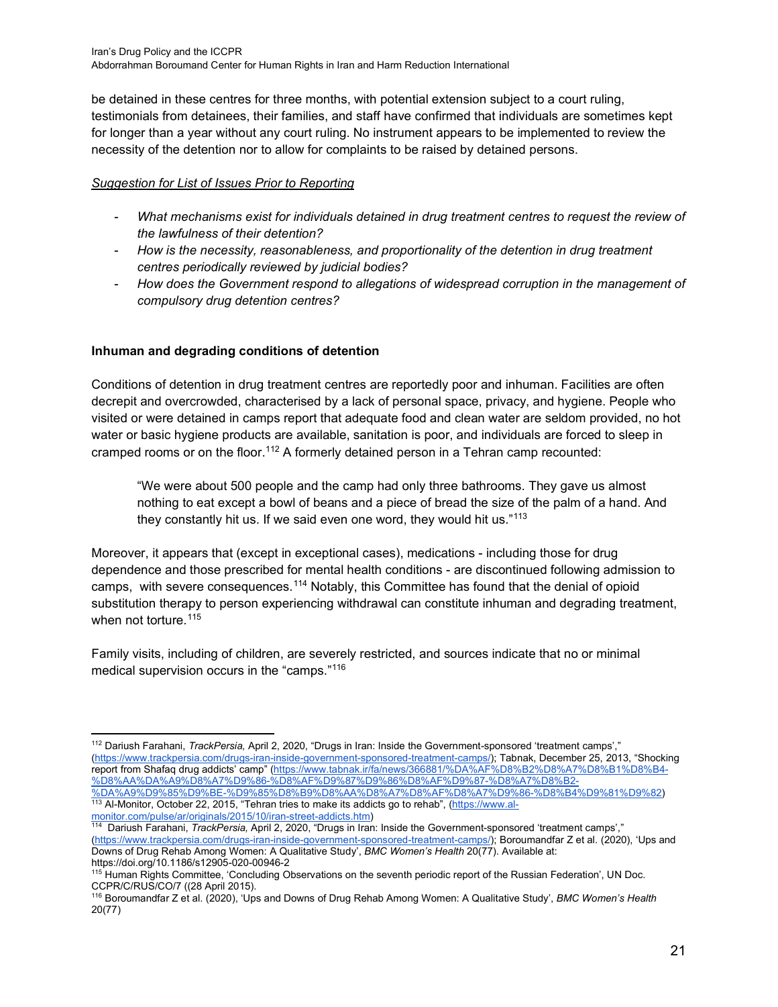be detained in these centres for three months, with potential extension subject to a court ruling, testimonials from detainees, their families, and staff have confirmed that individuals are sometimes kept for longer than a year without any court ruling. No instrument appears to be implemented to review the necessity of the detention nor to allow for complaints to be raised by detained persons.

# *Suggestion for List of Issues Prior to Reporting*

- *What mechanisms exist for individuals detained in drug treatment centres to request the review of the lawfulness of their detention?*
- *How is the necessity, reasonableness, and proportionality of the detention in drug treatment centres periodically reviewed by judicial bodies?*
- *How does the Government respond to allegations of widespread corruption in the management of compulsory drug detention centres?*

# **Inhuman and degrading conditions of detention**

Conditions of detention in drug treatment centres are reportedly poor and inhuman. Facilities are often decrepit and overcrowded, characterised by a lack of personal space, privacy, and hygiene. People who visited or were detained in camps report that adequate food and clean water are seldom provided, no hot water or basic hygiene products are available, sanitation is poor, and individuals are forced to sleep in cramped rooms or on the floor.<sup>[112](#page-20-0)</sup> A formerly detained person in a Tehran camp recounted:

"We were about 500 people and the camp had only three bathrooms. They gave us almost nothing to eat except a bowl of beans and a piece of bread the size of the palm of a hand. And they constantly hit us. If we said even one word, they would hit us."<sup>[113](#page-20-1)</sup>

Moreover, it appears that (except in exceptional cases), medications - including those for drug dependence and those prescribed for mental health conditions - are discontinued following admission to camps, with severe consequences.[114](#page-20-2) Notably, this Committee has found that the denial of opioid substitution therapy to person experiencing withdrawal can constitute inhuman and degrading treatment, when not torture.<sup>[115](#page-20-3)</sup>

Family visits, including of children, are severely restricted, and sources indicate that no or minimal medical supervision occurs in the "camps."[116](#page-20-4)

<span id="page-20-0"></span><sup>112</sup> Dariush Farahani, *TrackPersia,* April 2, 2020, "Drugs in Iran: Inside the Government-sponsored 'treatment camps'," [\(https://www.trackpersia.com/drugs-iran-inside-government-sponsored-treatment-camps/\);](https://www.trackpersia.com/drugs-iran-inside-government-sponsored-treatment-camps/) Tabnak, December 25, 2013, "Shocking report from Shafaq drug addicts' camp" [\(https://www.tabnak.ir/fa/news/366881/%DA%AF%D8%B2%D8%A7%D8%B1%D8%B4-](https://www.tabnak.ir/fa/news/366881/%DA%AF%D8%B2%D8%A7%D8%B1%D8%B4-%D8%AA%DA%A9%D8%A7%D9%86-%D8%AF%D9%87%D9%86%D8%AF%D9%87-%D8%A7%D8%B2-%DA%A9%D9%85%D9%BE-%D9%85%D8%B9%D8%AA%D8%A7%D8%AF%D8%A7%D9%86-%D8%B4%D9%81%D9%82) [%D8%AA%DA%A9%D8%A7%D9%86-%D8%AF%D9%87%D9%86%D8%AF%D9%87-%D8%A7%D8%B2-](https://www.tabnak.ir/fa/news/366881/%DA%AF%D8%B2%D8%A7%D8%B1%D8%B4-%D8%AA%DA%A9%D8%A7%D9%86-%D8%AF%D9%87%D9%86%D8%AF%D9%87-%D8%A7%D8%B2-%DA%A9%D9%85%D9%BE-%D9%85%D8%B9%D8%AA%D8%A7%D8%AF%D8%A7%D9%86-%D8%B4%D9%81%D9%82) [%DA%A9%D9%85%D9%BE-%D9%85%D8%B9%D8%AA%D8%A7%D8%AF%D8%A7%D9%86-%D8%B4%D9%81%D9%82\)](https://www.tabnak.ir/fa/news/366881/%DA%AF%D8%B2%D8%A7%D8%B1%D8%B4-%D8%AA%DA%A9%D8%A7%D9%86-%D8%AF%D9%87%D9%86%D8%AF%D9%87-%D8%A7%D8%B2-%DA%A9%D9%85%D9%BE-%D9%85%D8%B9%D8%AA%D8%A7%D8%AF%D8%A7%D9%86-%D8%B4%D9%81%D9%82) <sup>113</sup> Al-Monitor, October 22, 2015, "Tehran tries to make its addicts go to rehab", (<u>https://www.al-</u>

<span id="page-20-1"></span>[monitor.com/pulse/ar/originals/2015/10/iran-street-addicts.htm\)](https://www.al-monitor.com/pulse/ar/originals/2015/10/iran-street-addicts.html)

<span id="page-20-2"></span><sup>114</sup> Dariush Farahani, *TrackPersia,* April 2, 2020, "Drugs in Iran: Inside the Government-sponsored 'treatment camps'," [\(https://www.trackpersia.com/drugs-iran-inside-government-sponsored-treatment-camps/\);](https://www.trackpersia.com/drugs-iran-inside-government-sponsored-treatment-camps/) Boroumandfar Z et al. (2020), 'Ups and Downs of Drug Rehab Among Women: A Qualitative Study', *BMC Women's Health* 20(77). Available at: https://doi.org/10.1186/s12905-020-00946-2

<span id="page-20-3"></span><sup>&</sup>lt;sup>115</sup> Human Rights Committee, 'Concluding Observations on the seventh periodic report of the Russian Federation', UN Doc. CCPR/C/RUS/CO/7 ((28 April 2015).

<span id="page-20-4"></span><sup>116</sup> Boroumandfar Z et al. (2020), 'Ups and Downs of Drug Rehab Among Women: A Qualitative Study', *BMC Women's Health* 20(77)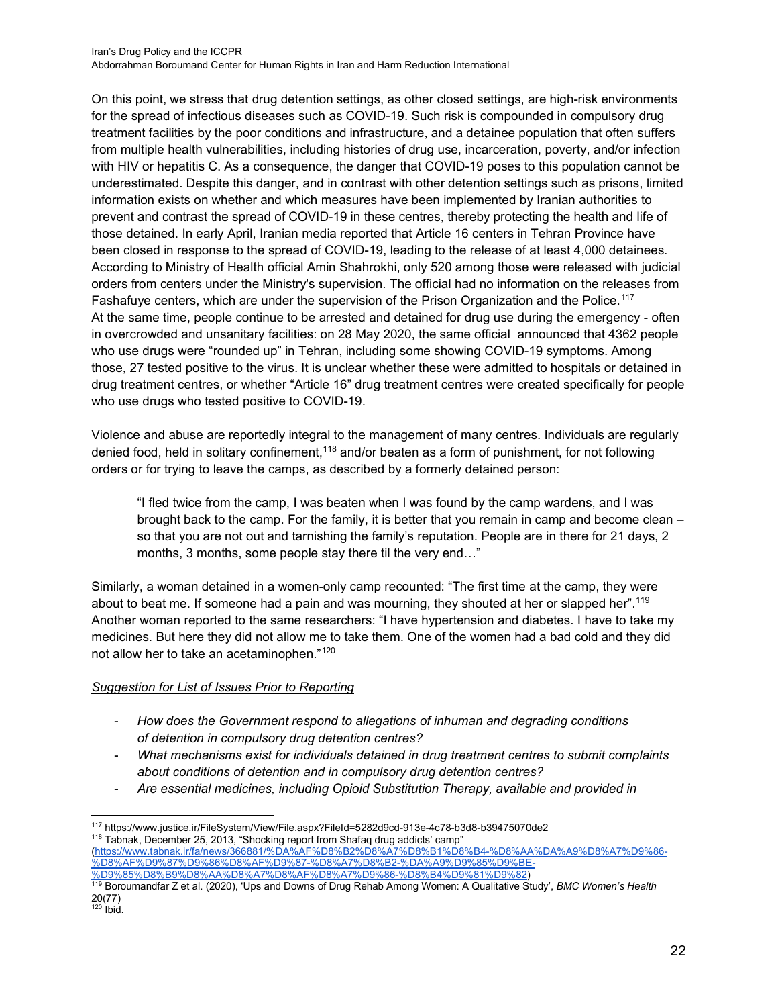On this point, we stress that drug detention settings, as other closed settings, are high-risk environments for the spread of infectious diseases such as COVID-19. Such risk is compounded in compulsory drug treatment facilities by the poor conditions and infrastructure, and a detainee population that often suffers from multiple health vulnerabilities, including histories of drug use, incarceration, poverty, and/or infection with HIV or hepatitis C. As a consequence, the danger that COVID-19 poses to this population cannot be underestimated. Despite this danger, and in contrast with other detention settings such as prisons, limited information exists on whether and which measures have been implemented by Iranian authorities to prevent and contrast the spread of COVID-19 in these centres, thereby protecting the health and life of those detained. In early April, Iranian media reported that Article 16 centers in Tehran Province have been closed in response to the spread of COVID-19, leading to the release of at least 4,000 detainees. According to Ministry of Health official Amin Shahrokhi, only 520 among those were released with judicial orders from centers under the Ministry's supervision. The official had no information on the releases from Fashafuye centers, which are under the supervision of the Prison Organization and the Police.<sup>[117](#page-21-0)</sup> At the same time, people continue to be arrested and detained for drug use during the emergency - often in overcrowded and unsanitary facilities: on 28 May 2020, the same official announced that 4362 people who use drugs were "rounded up" in Tehran, including some showing COVID-19 symptoms. Among those, 27 tested positive to the virus. It is unclear whether these were admitted to hospitals or detained in drug treatment centres, or whether "Article 16" drug treatment centres were created specifically for people who use drugs who tested positive to COVID-19.

Violence and abuse are reportedly integral to the management of many centres. Individuals are regularly denied food, held in solitary confinement,<sup>[118](#page-21-1)</sup> and/or beaten as a form of punishment, for not following orders or for trying to leave the camps, as described by a formerly detained person:

"I fled twice from the camp, I was beaten when I was found by the camp wardens, and I was brought back to the camp. For the family, it is better that you remain in camp and become clean – so that you are not out and tarnishing the family's reputation. People are in there for 21 days, 2 months, 3 months, some people stay there til the very end…"

Similarly, a woman detained in a women-only camp recounted: "The first time at the camp, they were about to beat me. If someone had a pain and was mourning, they shouted at her or slapped her".[119](#page-21-2) Another woman reported to the same researchers: "I have hypertension and diabetes. I have to take my medicines. But here they did not allow me to take them. One of the women had a bad cold and they did not allow her to take an acetaminophen."[120](#page-21-3)

## *Suggestion for List of Issues Prior to Reporting*

- *How does the Government respond to allegations of inhuman and degrading conditions of detention in compulsory drug detention centres?*
- *What mechanisms exist for individuals detained in drug treatment centres to submit complaints about conditions of detention and in compulsory drug detention centres?*
- *Are essential medicines, including Opioid Substitution Therapy, available and provided in*

[\(https://www.tabnak.ir/fa/news/366881/%DA%AF%D8%B2%D8%A7%D8%B1%D8%B4-%D8%AA%DA%A9%D8%A7%D9%86-](https://www.tabnak.ir/fa/news/366881/%DA%AF%D8%B2%D8%A7%D8%B1%D8%B4-%D8%AA%DA%A9%D8%A7%D9%86-%D8%AF%D9%87%D9%86%D8%AF%D9%87-%D8%A7%D8%B2-%DA%A9%D9%85%D9%BE-%D9%85%D8%B9%D8%AA%D8%A7%D8%AF%D8%A7%D9%86-%D8%B4%D9%81%D9%82) [%D8%AF%D9%87%D9%86%D8%AF%D9%87-%D8%A7%D8%B2-%DA%A9%D9%85%D9%BE-](https://www.tabnak.ir/fa/news/366881/%DA%AF%D8%B2%D8%A7%D8%B1%D8%B4-%D8%AA%DA%A9%D8%A7%D9%86-%D8%AF%D9%87%D9%86%D8%AF%D9%87-%D8%A7%D8%B2-%DA%A9%D9%85%D9%BE-%D9%85%D8%B9%D8%AA%D8%A7%D8%AF%D8%A7%D9%86-%D8%B4%D9%81%D9%82) [%D9%85%D8%B9%D8%AA%D8%A7%D8%AF%D8%A7%D9%86-%D8%B4%D9%81%D9%82\)](https://www.tabnak.ir/fa/news/366881/%DA%AF%D8%B2%D8%A7%D8%B1%D8%B4-%D8%AA%DA%A9%D8%A7%D9%86-%D8%AF%D9%87%D9%86%D8%AF%D9%87-%D8%A7%D8%B2-%DA%A9%D9%85%D9%BE-%D9%85%D8%B9%D8%AA%D8%A7%D8%AF%D8%A7%D9%86-%D8%B4%D9%81%D9%82)

<span id="page-21-1"></span><span id="page-21-0"></span><sup>117</sup> <https://www.justice.ir/FileSystem/View/File.aspx?FileId=5282d9cd-913e-4c78-b3d8-b39475070de2> <sup>118</sup> Tabnak, December 25, 2013, "Shocking report from Shafag drug addicts' camp"

<span id="page-21-2"></span><sup>119</sup> Boroumandfar Z et al. (2020), 'Ups and Downs of Drug Rehab Among Women: A Qualitative Study', *BMC Women's Health* 20(77)

<span id="page-21-3"></span> $120$  Ibid.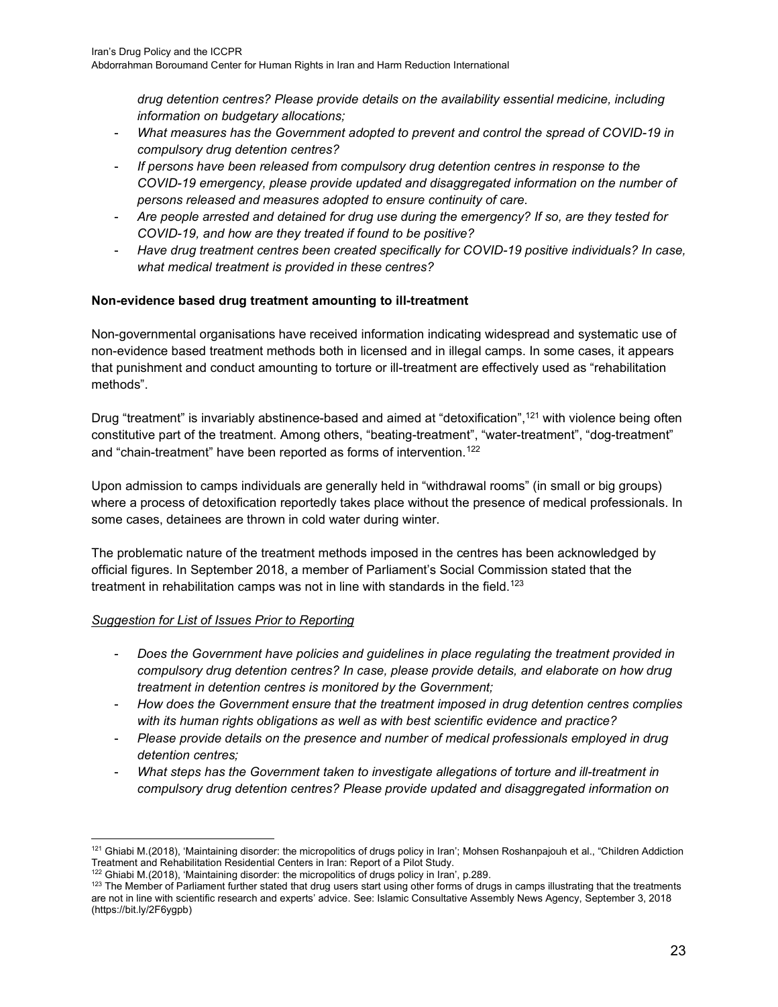*drug detention centres? Please provide details on the availability essential medicine, including information on budgetary allocations;*

- *What measures has the Government adopted to prevent and control the spread of COVID-19 in compulsory drug detention centres?*
- *If persons have been released from compulsory drug detention centres in response to the COVID-19 emergency, please provide updated and disaggregated information on the number of persons released and measures adopted to ensure continuity of care.*
- *Are people arrested and detained for drug use during the emergency? If so, are they tested for COVID-19, and how are they treated if found to be positive?*
- *Have drug treatment centres been created specifically for COVID-19 positive individuals? In case, what medical treatment is provided in these centres?*

## **Non-evidence based drug treatment amounting to ill-treatment**

Non-governmental organisations have received information indicating widespread and systematic use of non-evidence based treatment methods both in licensed and in illegal camps. In some cases, it appears that punishment and conduct amounting to torture or ill-treatment are effectively used as "rehabilitation methods".

Drug "treatment" is invariably abstinence-based and aimed at "detoxification",<sup>[121](#page-22-0)</sup> with violence being often constitutive part of the treatment. Among others, "beating-treatment", "water-treatment", "dog-treatment" and "chain-treatment" have been reported as forms of intervention.<sup>[122](#page-22-1)</sup>

Upon admission to camps individuals are generally held in "withdrawal rooms" (in small or big groups) where a process of detoxification reportedly takes place without the presence of medical professionals. In some cases, detainees are thrown in cold water during winter.

The problematic nature of the treatment methods imposed in the centres has been acknowledged by official figures. In September 2018, a member of Parliament's Social Commission stated that the treatment in rehabilitation camps was not in line with standards in the field.<sup>[123](#page-22-2)</sup>

- *Does the Government have policies and guidelines in place regulating the treatment provided in compulsory drug detention centres? In case, please provide details, and elaborate on how drug treatment in detention centres is monitored by the Government;*
- *How does the Government ensure that the treatment imposed in drug detention centres complies with its human rights obligations as well as with best scientific evidence and practice?*
- *Please provide details on the presence and number of medical professionals employed in drug detention centres;*
- *What steps has the Government taken to investigate allegations of torture and ill-treatment in compulsory drug detention centres? Please provide updated and disaggregated information on*

<span id="page-22-0"></span><sup>&</sup>lt;sup>121</sup> Ghiabi M.(2018), 'Maintaining disorder: the micropolitics of drugs policy in Iran'; Mohsen Roshanpajouh et al., "Children Addiction Treatment and Rehabilitation Residential Centers in Iran: Report of a Pilot Study.

<sup>122</sup> Ghiabi M.(2018), 'Maintaining disorder: the micropolitics of drugs policy in Iran', p.289.

<span id="page-22-2"></span><span id="page-22-1"></span><sup>&</sup>lt;sup>123</sup> The Member of Parliament further stated that drug users start using other forms of drugs in camps illustrating that the treatments are not in line with scientific research and experts' advice. See: Islamic Consultative Assembly News Agency, September 3, 2018 (https://bit.ly/2F6ygpb)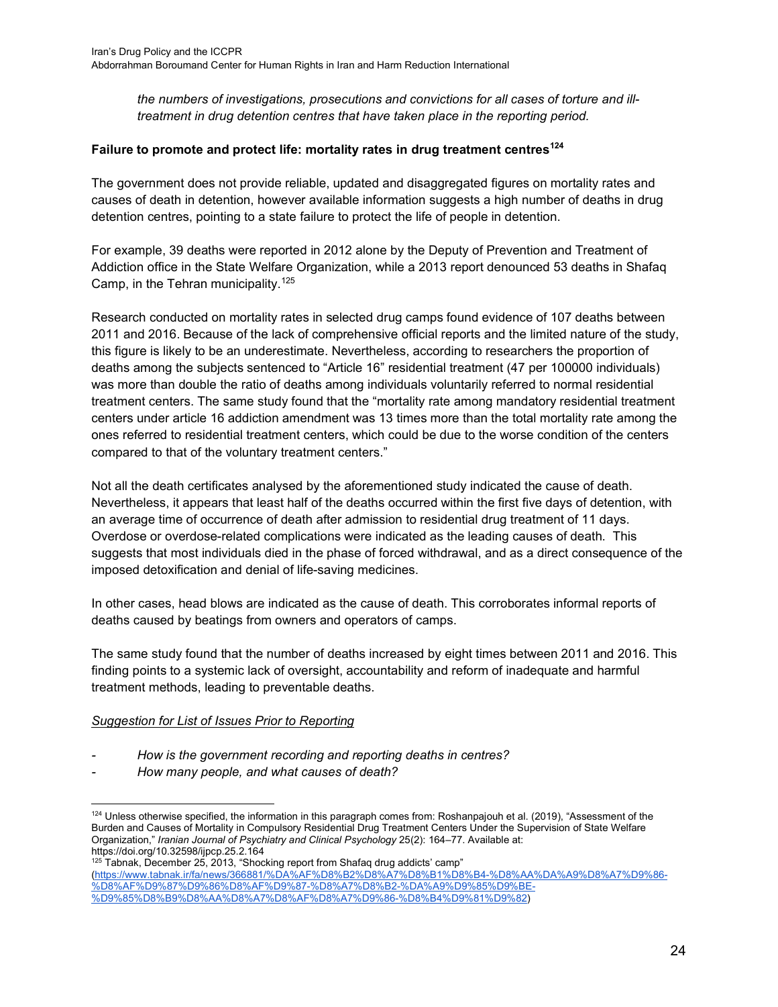*the numbers of investigations, prosecutions and convictions for all cases of torture and illtreatment in drug detention centres that have taken place in the reporting period.*

#### **Failure to promote and protect life: mortality rates in drug treatment centres[124](#page-23-0)**

The government does not provide reliable, updated and disaggregated figures on mortality rates and causes of death in detention, however available information suggests a high number of deaths in drug detention centres, pointing to a state failure to protect the life of people in detention.

For example, 39 deaths were reported in 2012 alone by the Deputy of Prevention and Treatment of Addiction office in the State Welfare Organization, while a 2013 report denounced 53 deaths in Shafaq Camp, in the Tehran municipality.<sup>[125](#page-23-1)</sup>

Research conducted on mortality rates in selected drug camps found evidence of 107 deaths between 2011 and 2016. Because of the lack of comprehensive official reports and the limited nature of the study, this figure is likely to be an underestimate. Nevertheless, according to researchers the proportion of deaths among the subjects sentenced to "Article 16" residential treatment (47 per 100000 individuals) was more than double the ratio of deaths among individuals voluntarily referred to normal residential treatment centers. The same study found that the "mortality rate among mandatory residential treatment centers under article 16 addiction amendment was 13 times more than the total mortality rate among the ones referred to residential treatment centers, which could be due to the worse condition of the centers compared to that of the voluntary treatment centers."

Not all the death certificates analysed by the aforementioned study indicated the cause of death. Nevertheless, it appears that least half of the deaths occurred within the first five days of detention, with an average time of occurrence of death after admission to residential drug treatment of 11 days. Overdose or overdose-related complications were indicated as the leading causes of death. This suggests that most individuals died in the phase of forced withdrawal, and as a direct consequence of the imposed detoxification and denial of life-saving medicines.

In other cases, head blows are indicated as the cause of death. This corroborates informal reports of deaths caused by beatings from owners and operators of camps.

The same study found that the number of deaths increased by eight times between 2011 and 2016. This finding points to a systemic lack of oversight, accountability and reform of inadequate and harmful treatment methods, leading to preventable deaths.

- *- How is the government recording and reporting deaths in centres?*
- *- How many people, and what causes of death?*

<span id="page-23-0"></span> $124$  Unless otherwise specified, the information in this paragraph comes from: Roshanpajouh et al. (2019), "Assessment of the Burden and Causes of Mortality in Compulsory Residential Drug Treatment Centers Under the Supervision of State Welfare Organization," *Iranian Journal of Psychiatry and Clinical Psychology* 25(2): 164–77. Available at: https://doi.org/10.32598/ijpcp.25.2.164

<span id="page-23-1"></span> $125$  Tabnak, December 25, 2013, "Shocking report from Shafaq drug addicts' camp" [\(https://www.tabnak.ir/fa/news/366881/%DA%AF%D8%B2%D8%A7%D8%B1%D8%B4-%D8%AA%DA%A9%D8%A7%D9%86-](https://www.tabnak.ir/fa/news/366881/%DA%AF%D8%B2%D8%A7%D8%B1%D8%B4-%D8%AA%DA%A9%D8%A7%D9%86-%D8%AF%D9%87%D9%86%D8%AF%D9%87-%D8%A7%D8%B2-%DA%A9%D9%85%D9%BE-%D9%85%D8%B9%D8%AA%D8%A7%D8%AF%D8%A7%D9%86-%D8%B4%D9%81%D9%82) [%D8%AF%D9%87%D9%86%D8%AF%D9%87-%D8%A7%D8%B2-%DA%A9%D9%85%D9%BE-](https://www.tabnak.ir/fa/news/366881/%DA%AF%D8%B2%D8%A7%D8%B1%D8%B4-%D8%AA%DA%A9%D8%A7%D9%86-%D8%AF%D9%87%D9%86%D8%AF%D9%87-%D8%A7%D8%B2-%DA%A9%D9%85%D9%BE-%D9%85%D8%B9%D8%AA%D8%A7%D8%AF%D8%A7%D9%86-%D8%B4%D9%81%D9%82) [%D9%85%D8%B9%D8%AA%D8%A7%D8%AF%D8%A7%D9%86-%D8%B4%D9%81%D9%82\)](https://www.tabnak.ir/fa/news/366881/%DA%AF%D8%B2%D8%A7%D8%B1%D8%B4-%D8%AA%DA%A9%D8%A7%D9%86-%D8%AF%D9%87%D9%86%D8%AF%D9%87-%D8%A7%D8%B2-%DA%A9%D9%85%D9%BE-%D9%85%D8%B9%D8%AA%D8%A7%D8%AF%D8%A7%D9%86-%D8%B4%D9%81%D9%82)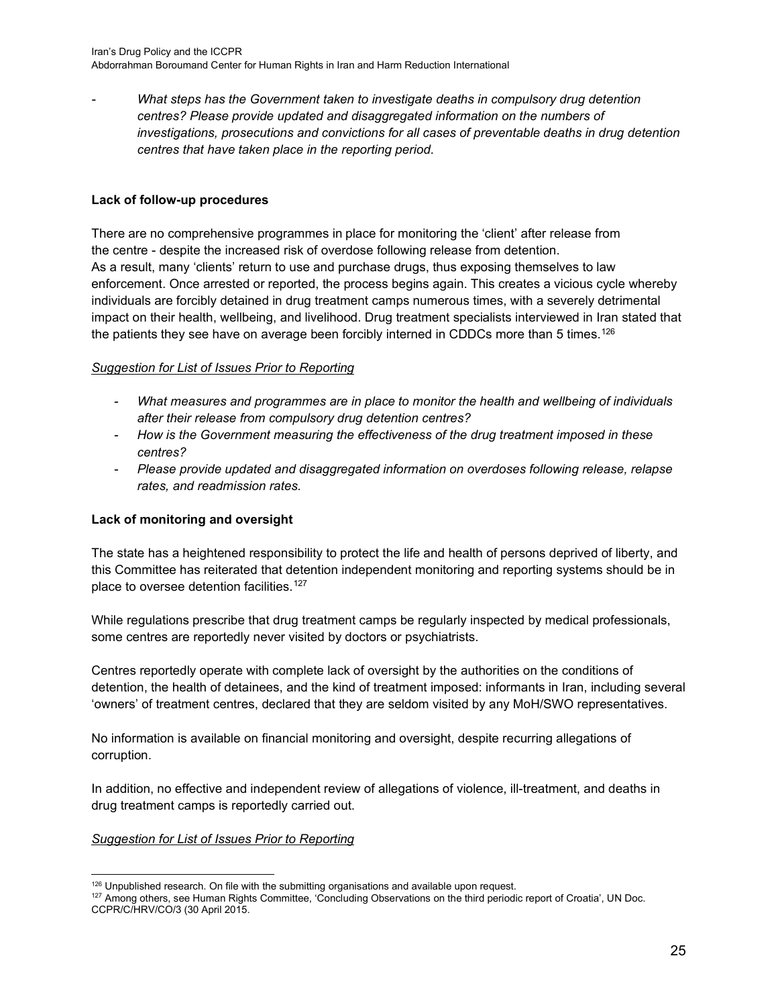*What steps has the Government taken to investigate deaths in compulsory drug detention centres? Please provide updated and disaggregated information on the numbers of investigations, prosecutions and convictions for all cases of preventable deaths in drug detention centres that have taken place in the reporting period.*

#### **Lack of follow-up procedures**

There are no comprehensive programmes in place for monitoring the 'client' after release from the centre - despite the increased risk of overdose following release from detention. As a result, many 'clients' return to use and purchase drugs, thus exposing themselves to law enforcement. Once arrested or reported, the process begins again. This creates a vicious cycle whereby individuals are forcibly detained in drug treatment camps numerous times, with a severely detrimental impact on their health, wellbeing, and livelihood. Drug treatment specialists interviewed in Iran stated that the patients they see have on average been forcibly interned in CDDCs more than 5 times.<sup>[126](#page-24-0)</sup>

#### *Suggestion for List of Issues Prior to Reporting*

- *What measures and programmes are in place to monitor the health and wellbeing of individuals after their release from compulsory drug detention centres?*
- *How is the Government measuring the effectiveness of the drug treatment imposed in these centres?*
- *Please provide updated and disaggregated information on overdoses following release, relapse rates, and readmission rates.*

#### **Lack of monitoring and oversight**

The state has a heightened responsibility to protect the life and health of persons deprived of liberty, and this Committee has reiterated that detention independent monitoring and reporting systems should be in place to oversee detention facilities.<sup>[127](#page-24-1)</sup>

While regulations prescribe that drug treatment camps be regularly inspected by medical professionals, some centres are reportedly never visited by doctors or psychiatrists.

Centres reportedly operate with complete lack of oversight by the authorities on the conditions of detention, the health of detainees, and the kind of treatment imposed: informants in Iran, including several 'owners' of treatment centres, declared that they are seldom visited by any MoH/SWO representatives.

No information is available on financial monitoring and oversight, despite recurring allegations of corruption.

In addition, no effective and independent review of allegations of violence, ill-treatment, and deaths in drug treatment camps is reportedly carried out.

<sup>126</sup> Unpublished research. On file with the submitting organisations and available upon request.

<span id="page-24-1"></span><span id="page-24-0"></span><sup>127</sup> Among others, see Human Rights Committee, 'Concluding Observations on the third periodic report of Croatia', UN Doc. CCPR/C/HRV/CO/3 (30 April 2015.